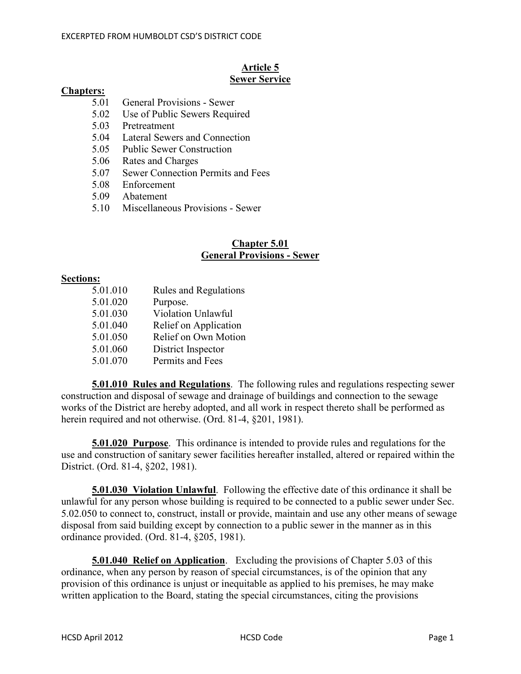## **Article 5 Sewer Service**

#### **Chapters:**

- 5.01 General Provisions Sewer
- 5.02 Use of Public Sewers Required
- 5.03 Pretreatment
- 5.04 Lateral Sewers and Connection
- 5.05 Public Sewer Construction
- 5.06 Rates and Charges
- 5.07 Sewer Connection Permits and Fees
- 5.08 Enforcement
- 5.09 Abatement
- 5.10 Miscellaneous Provisions Sewer

# **Chapter 5.01 General Provisions - Sewer**

#### **Sections:**

5.01.010 Rules and Regulations 5.01.020 Purpose. 5.01.030 Violation Unlawful 5.01.040 Relief on Application 5.01.050 Relief on Own Motion 5.01.060 District Inspector 5.01.070 Permits and Fees

**5.01.010 Rules and Regulations**. The following rules and regulations respecting sewer construction and disposal of sewage and drainage of buildings and connection to the sewage works of the District are hereby adopted, and all work in respect thereto shall be performed as herein required and not otherwise. (Ord. 81-4, §201, 1981).

**5.01.020 Purpose**. This ordinance is intended to provide rules and regulations for the use and construction of sanitary sewer facilities hereafter installed, altered or repaired within the District. (Ord. 81-4, §202, 1981).

**5.01.030 Violation Unlawful**. Following the effective date of this ordinance it shall be unlawful for any person whose building is required to be connected to a public sewer under Sec. 5.02.050 to connect to, construct, install or provide, maintain and use any other means of sewage disposal from said building except by connection to a public sewer in the manner as in this ordinance provided. (Ord. 81-4, §205, 1981).

**5.01.040 Relief on Application**. Excluding the provisions of Chapter 5.03 of this ordinance, when any person by reason of special circumstances, is of the opinion that any provision of this ordinance is unjust or inequitable as applied to his premises, he may make written application to the Board, stating the special circumstances, citing the provisions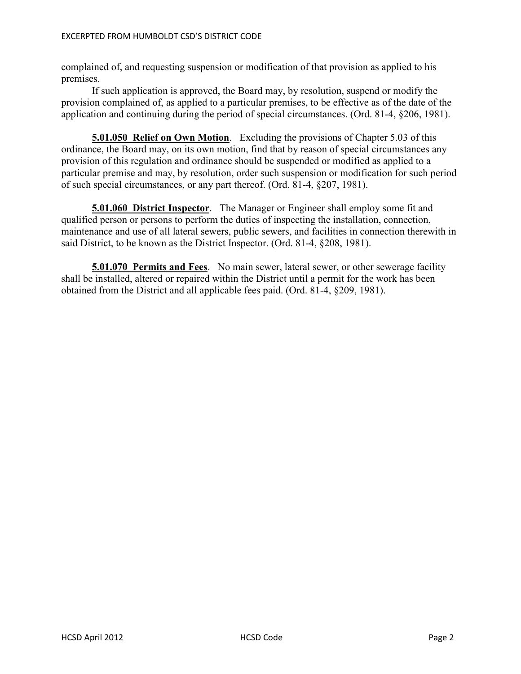complained of, and requesting suspension or modification of that provision as applied to his premises.

 If such application is approved, the Board may, by resolution, suspend or modify the provision complained of, as applied to a particular premises, to be effective as of the date of the application and continuing during the period of special circumstances. (Ord. 81-4, §206, 1981).

**5.01.050 Relief on Own Motion**. Excluding the provisions of Chapter 5.03 of this ordinance, the Board may, on its own motion, find that by reason of special circumstances any provision of this regulation and ordinance should be suspended or modified as applied to a particular premise and may, by resolution, order such suspension or modification for such period of such special circumstances, or any part thereof. (Ord. 81-4, §207, 1981).

**5.01.060 District Inspector**. The Manager or Engineer shall employ some fit and qualified person or persons to perform the duties of inspecting the installation, connection, maintenance and use of all lateral sewers, public sewers, and facilities in connection therewith in said District, to be known as the District Inspector. (Ord. 81-4, §208, 1981).

**5.01.070 Permits and Fees**. No main sewer, lateral sewer, or other sewerage facility shall be installed, altered or repaired within the District until a permit for the work has been obtained from the District and all applicable fees paid. (Ord. 81-4, §209, 1981).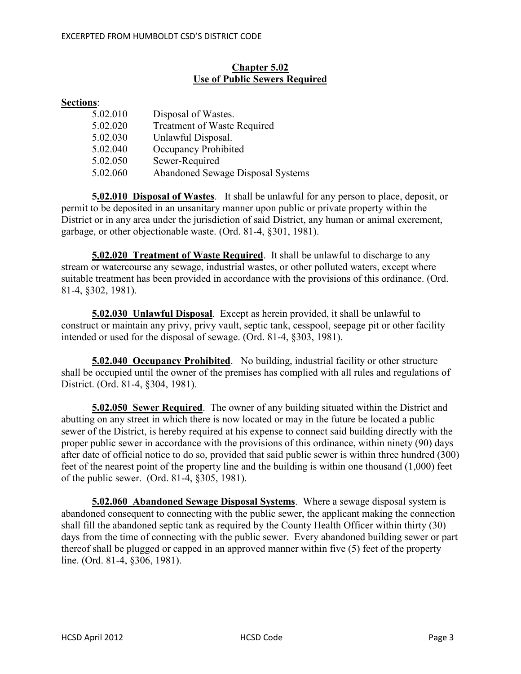# **Chapter 5.02 Use of Public Sewers Required**

# **Sections**:

| 5.02.010 | Disposal of Wastes.                      |
|----------|------------------------------------------|
| 5.02.020 | <b>Treatment of Waste Required</b>       |
| 5.02.030 | Unlawful Disposal.                       |
| 5.02.040 | Occupancy Prohibited                     |
| 5.02.050 | Sewer-Required                           |
| 5.02.060 | <b>Abandoned Sewage Disposal Systems</b> |

**5.02.010 Disposal of Wastes**. It shall be unlawful for any person to place, deposit, or permit to be deposited in an unsanitary manner upon public or private property within the District or in any area under the jurisdiction of said District, any human or animal excrement, garbage, or other objectionable waste. (Ord. 81-4, §301, 1981).

**5.02.020 Treatment of Waste Required**. It shall be unlawful to discharge to any stream or watercourse any sewage, industrial wastes, or other polluted waters, except where suitable treatment has been provided in accordance with the provisions of this ordinance. (Ord. 81-4, §302, 1981).

**5.02.030 Unlawful Disposal**. Except as herein provided, it shall be unlawful to construct or maintain any privy, privy vault, septic tank, cesspool, seepage pit or other facility intended or used for the disposal of sewage. (Ord. 81-4, §303, 1981).

**5.02.040 Occupancy Prohibited**. No building, industrial facility or other structure shall be occupied until the owner of the premises has complied with all rules and regulations of District. (Ord. 81-4, §304, 1981).

**5.02.050 Sewer Required**. The owner of any building situated within the District and abutting on any street in which there is now located or may in the future be located a public sewer of the District, is hereby required at his expense to connect said building directly with the proper public sewer in accordance with the provisions of this ordinance, within ninety (90) days after date of official notice to do so, provided that said public sewer is within three hundred (300) feet of the nearest point of the property line and the building is within one thousand (1,000) feet of the public sewer. (Ord. 81-4, §305, 1981).

**5.02.060 Abandoned Sewage Disposal Systems**. Where a sewage disposal system is abandoned consequent to connecting with the public sewer, the applicant making the connection shall fill the abandoned septic tank as required by the County Health Officer within thirty (30) days from the time of connecting with the public sewer. Every abandoned building sewer or part thereof shall be plugged or capped in an approved manner within five (5) feet of the property line. (Ord. 81-4, §306, 1981).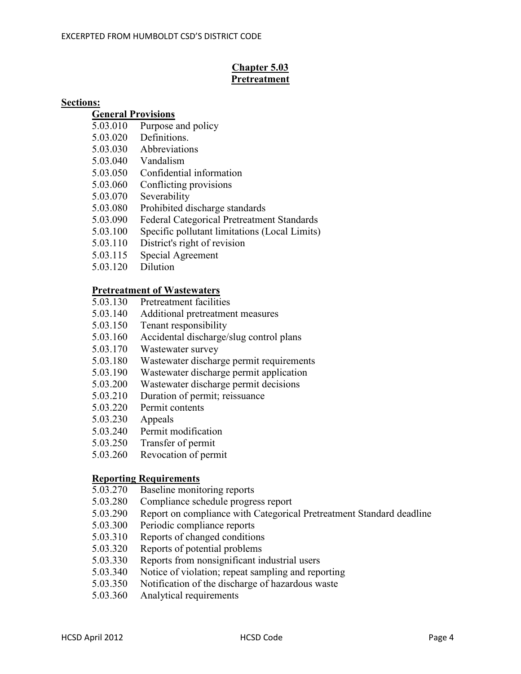# **Chapter 5.03 Pretreatment**

#### **Sections:**

#### **General Provisions**

- 5.03.010 Purpose and policy
- 5.03.020 Definitions.
- 5.03.030 Abbreviations
- 5.03.040 Vandalism
- 5.03.050 Confidential information
- 5.03.060 Conflicting provisions
- 5.03.070 Severability
- 5.03.080 Prohibited discharge standards
- 5.03.090 Federal Categorical Pretreatment Standards
- 5.03.100 Specific pollutant limitations (Local Limits)
- 5.03.110 District's right of revision
- 5.03.115 Special Agreement
- 5.03.120 Dilution

# **Pretreatment of Wastewaters**<br>5.03.130 Pretreatment faciliti

- Pretreatment facilities
- 5.03.140 Additional pretreatment measures
- 5.03.150 Tenant responsibility
- 5.03.160 Accidental discharge/slug control plans
- 5.03.170 Wastewater survey
- 5.03.180 Wastewater discharge permit requirements
- 5.03.190 Wastewater discharge permit application
- 5.03.200 Wastewater discharge permit decisions
- 5.03.210 Duration of permit; reissuance
- 5.03.220 Permit contents
- 5.03.230 Appeals
- 5.03.240 Permit modification
- 5.03.250 Transfer of permit
- 5.03.260 Revocation of permit

# **Reporting Requirements**<br>5.03.270 Baseline monit

- Baseline monitoring reports
- 5.03.280 Compliance schedule progress report
- 5.03.290 Report on compliance with Categorical Pretreatment Standard deadline
- 5.03.300 Periodic compliance reports
- 5.03.310 Reports of changed conditions
- 5.03.320 Reports of potential problems
- 5.03.330 Reports from nonsignificant industrial users
- 5.03.340 Notice of violation; repeat sampling and reporting
- 5.03.350 Notification of the discharge of hazardous waste
- 5.03.360 Analytical requirements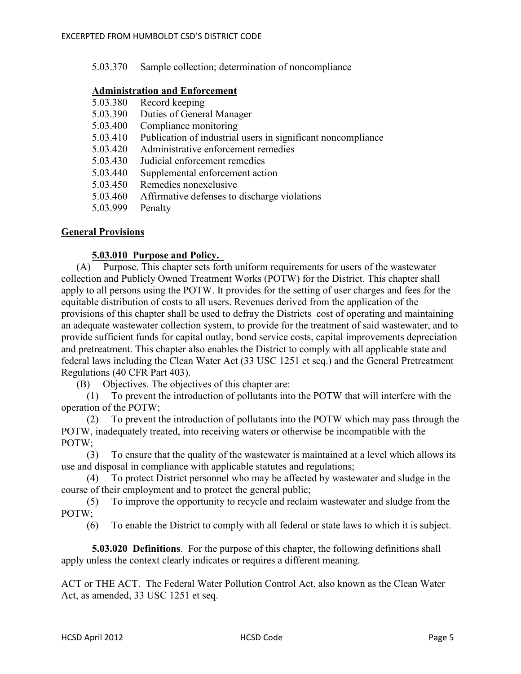| 5.03.370<br>Sample collection; determination of noncompliance |
|---------------------------------------------------------------|
|---------------------------------------------------------------|

#### **Administration and Enforcement**

| 5.03.380 | Record keeping                                               |
|----------|--------------------------------------------------------------|
| 5.03.390 | Duties of General Manager                                    |
| 5.03.400 | Compliance monitoring                                        |
| 5.03.410 | Publication of industrial users in significant noncompliance |
| 5.03.420 | Administrative enforcement remedies                          |
| 5.03.430 | Judicial enforcement remedies                                |
| 5.03.440 | Supplemental enforcement action                              |
| 5.03.450 | Remedies nonexclusive                                        |
| 5.03.460 | Affirmative defenses to discharge violations                 |
| 5.03.999 | Penalty                                                      |

#### **General Provisions**

#### **5.03.010 Purpose and Policy.**

 (A) Purpose. This chapter sets forth uniform requirements for users of the wastewater collection and Publicly Owned Treatment Works (POTW) for the District. This chapter shall apply to all persons using the POTW. It provides for the setting of user charges and fees for the equitable distribution of costs to all users. Revenues derived from the application of the provisions of this chapter shall be used to defray the Districts cost of operating and maintaining an adequate wastewater collection system, to provide for the treatment of said wastewater, and to provide sufficient funds for capital outlay, bond service costs, capital improvements depreciation and pretreatment. This chapter also enables the District to comply with all applicable state and federal laws including the Clean Water Act (33 USC 1251 et seq.) and the General Pretreatment Regulations (40 CFR Part 403).

(B) Objectives. The objectives of this chapter are:

 (1) To prevent the introduction of pollutants into the POTW that will interfere with the operation of the POTW;

 (2) To prevent the introduction of pollutants into the POTW which may pass through the POTW, inadequately treated, into receiving waters or otherwise be incompatible with the POTW;

 (3) To ensure that the quality of the wastewater is maintained at a level which allows its use and disposal in compliance with applicable statutes and regulations;

 (4) To protect District personnel who may be affected by wastewater and sludge in the course of their employment and to protect the general public;

 (5) To improve the opportunity to recycle and reclaim wastewater and sludge from the POTW;

(6) To enable the District to comply with all federal or state laws to which it is subject.

**5.03.020 Definitions**. For the purpose of this chapter, the following definitions shall apply unless the context clearly indicates or requires a different meaning.

ACT or THE ACT. The Federal Water Pollution Control Act, also known as the Clean Water Act, as amended, 33 USC 1251 et seq.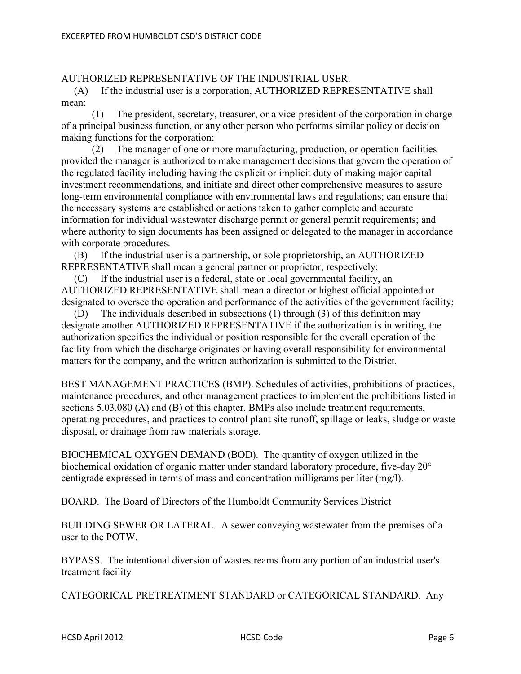# AUTHORIZED REPRESENTATIVE OF THE INDUSTRIAL USER.

 (A) If the industrial user is a corporation, AUTHORIZED REPRESENTATIVE shall mean:

 (1) The president, secretary, treasurer, or a vice-president of the corporation in charge of a principal business function, or any other person who performs similar policy or decision making functions for the corporation;

 (2) The manager of one or more manufacturing, production, or operation facilities provided the manager is authorized to make management decisions that govern the operation of the regulated facility including having the explicit or implicit duty of making major capital investment recommendations, and initiate and direct other comprehensive measures to assure long-term environmental compliance with environmental laws and regulations; can ensure that the necessary systems are established or actions taken to gather complete and accurate information for individual wastewater discharge permit or general permit requirements; and where authority to sign documents has been assigned or delegated to the manager in accordance with corporate procedures.

 (B) If the industrial user is a partnership, or sole proprietorship, an AUTHORIZED REPRESENTATIVE shall mean a general partner or proprietor, respectively;

 (C) If the industrial user is a federal, state or local governmental facility, an AUTHORIZED REPRESENTATIVE shall mean a director or highest official appointed or designated to oversee the operation and performance of the activities of the government facility;

 (D) The individuals described in subsections (1) through (3) of this definition may designate another AUTHORIZED REPRESENTATIVE if the authorization is in writing, the authorization specifies the individual or position responsible for the overall operation of the facility from which the discharge originates or having overall responsibility for environmental matters for the company, and the written authorization is submitted to the District.

BEST MANAGEMENT PRACTICES (BMP). Schedules of activities, prohibitions of practices, maintenance procedures, and other management practices to implement the prohibitions listed in sections 5.03.080 (A) and (B) of this chapter. BMPs also include treatment requirements, operating procedures, and practices to control plant site runoff, spillage or leaks, sludge or waste disposal, or drainage from raw materials storage.

BIOCHEMICAL OXYGEN DEMAND (BOD). The quantity of oxygen utilized in the biochemical oxidation of organic matter under standard laboratory procedure, five-day 20° centigrade expressed in terms of mass and concentration milligrams per liter (mg/l).

BOARD. The Board of Directors of the Humboldt Community Services District

BUILDING SEWER OR LATERAL. A sewer conveying wastewater from the premises of a user to the POTW.

BYPASS. The intentional diversion of wastestreams from any portion of an industrial user's treatment facility

CATEGORICAL PRETREATMENT STANDARD or CATEGORICAL STANDARD. Any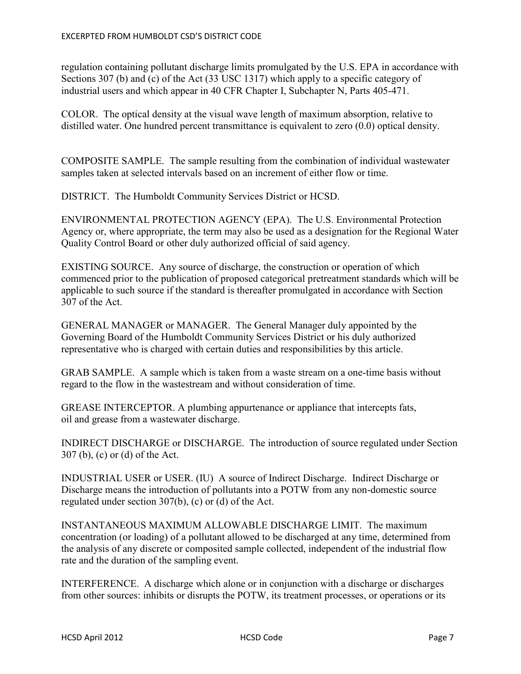regulation containing pollutant discharge limits promulgated by the U.S. EPA in accordance with Sections 307 (b) and (c) of the Act (33 USC 1317) which apply to a specific category of industrial users and which appear in 40 CFR Chapter I, Subchapter N, Parts 405-471.

COLOR. The optical density at the visual wave length of maximum absorption, relative to distilled water. One hundred percent transmittance is equivalent to zero (0.0) optical density.

COMPOSITE SAMPLE. The sample resulting from the combination of individual wastewater samples taken at selected intervals based on an increment of either flow or time.

DISTRICT. The Humboldt Community Services District or HCSD.

ENVIRONMENTAL PROTECTION AGENCY (EPA). The U.S. Environmental Protection Agency or, where appropriate, the term may also be used as a designation for the Regional Water Quality Control Board or other duly authorized official of said agency.

EXISTING SOURCE. Any source of discharge, the construction or operation of which commenced prior to the publication of proposed categorical pretreatment standards which will be applicable to such source if the standard is thereafter promulgated in accordance with Section 307 of the Act.

GENERAL MANAGER or MANAGER. The General Manager duly appointed by the Governing Board of the Humboldt Community Services District or his duly authorized representative who is charged with certain duties and responsibilities by this article.

GRAB SAMPLE. A sample which is taken from a waste stream on a one-time basis without regard to the flow in the wastestream and without consideration of time.

GREASE INTERCEPTOR. A plumbing appurtenance or appliance that intercepts fats, oil and grease from a wastewater discharge.

INDIRECT DISCHARGE or DISCHARGE. The introduction of source regulated under Section 307 (b), (c) or (d) of the Act.

INDUSTRIAL USER or USER. (IU) A source of Indirect Discharge. Indirect Discharge or Discharge means the introduction of pollutants into a POTW from any non-domestic source regulated under section 307(b), (c) or (d) of the Act.

INSTANTANEOUS MAXIMUM ALLOWABLE DISCHARGE LIMIT. The maximum concentration (or loading) of a pollutant allowed to be discharged at any time, determined from the analysis of any discrete or composited sample collected, independent of the industrial flow rate and the duration of the sampling event.

INTERFERENCE. A discharge which alone or in conjunction with a discharge or discharges from other sources: inhibits or disrupts the POTW, its treatment processes, or operations or its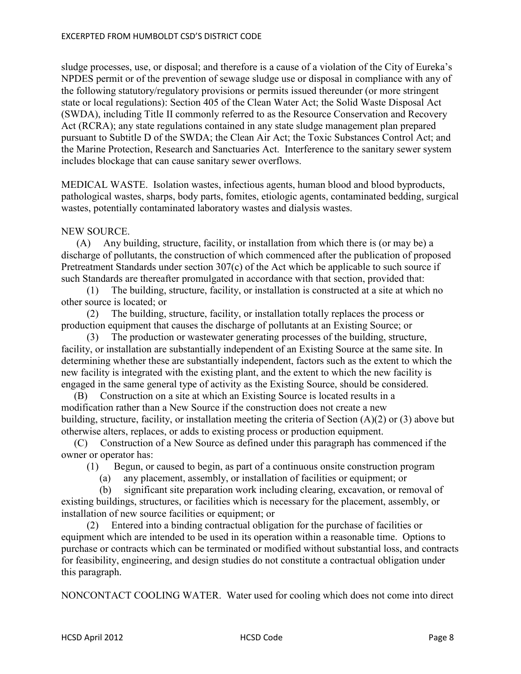sludge processes, use, or disposal; and therefore is a cause of a violation of the City of Eureka's NPDES permit or of the prevention of sewage sludge use or disposal in compliance with any of the following statutory/regulatory provisions or permits issued thereunder (or more stringent state or local regulations): Section 405 of the Clean Water Act; the Solid Waste Disposal Act (SWDA), including Title II commonly referred to as the Resource Conservation and Recovery Act (RCRA); any state regulations contained in any state sludge management plan prepared pursuant to Subtitle D of the SWDA; the Clean Air Act; the Toxic Substances Control Act; and the Marine Protection, Research and Sanctuaries Act. Interference to the sanitary sewer system includes blockage that can cause sanitary sewer overflows.

MEDICAL WASTE. Isolation wastes, infectious agents, human blood and blood byproducts, pathological wastes, sharps, body parts, fomites, etiologic agents, contaminated bedding, surgical wastes, potentially contaminated laboratory wastes and dialysis wastes.

#### NEW SOURCE.

 (A) Any building, structure, facility, or installation from which there is (or may be) a discharge of pollutants, the construction of which commenced after the publication of proposed Pretreatment Standards under section 307(c) of the Act which be applicable to such source if such Standards are thereafter promulgated in accordance with that section, provided that:

 (1) The building, structure, facility, or installation is constructed at a site at which no other source is located; or

 (2) The building, structure, facility, or installation totally replaces the process or production equipment that causes the discharge of pollutants at an Existing Source; or

 (3) The production or wastewater generating processes of the building, structure, facility, or installation are substantially independent of an Existing Source at the same site. In determining whether these are substantially independent, factors such as the extent to which the new facility is integrated with the existing plant, and the extent to which the new facility is engaged in the same general type of activity as the Existing Source, should be considered.

 (B) Construction on a site at which an Existing Source is located results in a modification rather than a New Source if the construction does not create a new building, structure, facility, or installation meeting the criteria of Section (A)(2) or (3) above but otherwise alters, replaces, or adds to existing process or production equipment.

 (C) Construction of a New Source as defined under this paragraph has commenced if the owner or operator has:

(1) Begun, or caused to begin, as part of a continuous onsite construction program

(a) any placement, assembly, or installation of facilities or equipment; or

 (b) significant site preparation work including clearing, excavation, or removal of existing buildings, structures, or facilities which is necessary for the placement, assembly, or installation of new source facilities or equipment; or

 (2) Entered into a binding contractual obligation for the purchase of facilities or equipment which are intended to be used in its operation within a reasonable time. Options to purchase or contracts which can be terminated or modified without substantial loss, and contracts for feasibility, engineering, and design studies do not constitute a contractual obligation under this paragraph.

NONCONTACT COOLING WATER. Water used for cooling which does not come into direct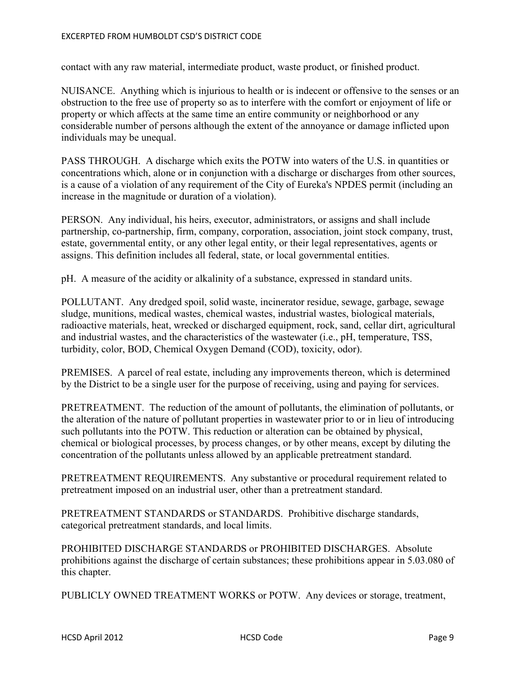contact with any raw material, intermediate product, waste product, or finished product.

NUISANCE. Anything which is injurious to health or is indecent or offensive to the senses or an obstruction to the free use of property so as to interfere with the comfort or enjoyment of life or property or which affects at the same time an entire community or neighborhood or any considerable number of persons although the extent of the annoyance or damage inflicted upon individuals may be unequal.

PASS THROUGH. A discharge which exits the POTW into waters of the U.S. in quantities or concentrations which, alone or in conjunction with a discharge or discharges from other sources, is a cause of a violation of any requirement of the City of Eureka's NPDES permit (including an increase in the magnitude or duration of a violation).

PERSON. Any individual, his heirs, executor, administrators, or assigns and shall include partnership, co-partnership, firm, company, corporation, association, joint stock company, trust, estate, governmental entity, or any other legal entity, or their legal representatives, agents or assigns. This definition includes all federal, state, or local governmental entities.

pH. A measure of the acidity or alkalinity of a substance, expressed in standard units.

POLLUTANT. Any dredged spoil, solid waste, incinerator residue, sewage, garbage, sewage sludge, munitions, medical wastes, chemical wastes, industrial wastes, biological materials, radioactive materials, heat, wrecked or discharged equipment, rock, sand, cellar dirt, agricultural and industrial wastes, and the characteristics of the wastewater (i.e., pH, temperature, TSS, turbidity, color, BOD, Chemical Oxygen Demand (COD), toxicity, odor).

PREMISES. A parcel of real estate, including any improvements thereon, which is determined by the District to be a single user for the purpose of receiving, using and paying for services.

PRETREATMENT. The reduction of the amount of pollutants, the elimination of pollutants, or the alteration of the nature of pollutant properties in wastewater prior to or in lieu of introducing such pollutants into the POTW. This reduction or alteration can be obtained by physical, chemical or biological processes, by process changes, or by other means, except by diluting the concentration of the pollutants unless allowed by an applicable pretreatment standard.

PRETREATMENT REQUIREMENTS. Any substantive or procedural requirement related to pretreatment imposed on an industrial user, other than a pretreatment standard.

PRETREATMENT STANDARDS or STANDARDS. Prohibitive discharge standards, categorical pretreatment standards, and local limits.

PROHIBITED DISCHARGE STANDARDS or PROHIBITED DISCHARGES. Absolute prohibitions against the discharge of certain substances; these prohibitions appear in 5.03.080 of this chapter.

PUBLICLY OWNED TREATMENT WORKS or POTW. Any devices or storage, treatment,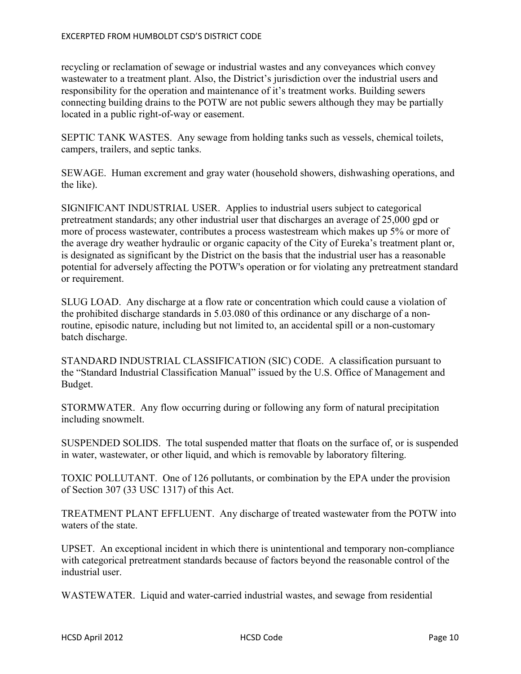recycling or reclamation of sewage or industrial wastes and any conveyances which convey wastewater to a treatment plant. Also, the District's jurisdiction over the industrial users and responsibility for the operation and maintenance of it's treatment works. Building sewers connecting building drains to the POTW are not public sewers although they may be partially located in a public right-of-way or easement.

SEPTIC TANK WASTES. Any sewage from holding tanks such as vessels, chemical toilets, campers, trailers, and septic tanks.

SEWAGE. Human excrement and gray water (household showers, dishwashing operations, and the like).

SIGNIFICANT INDUSTRIAL USER. Applies to industrial users subject to categorical pretreatment standards; any other industrial user that discharges an average of 25,000 gpd or more of process wastewater, contributes a process wastestream which makes up 5% or more of the average dry weather hydraulic or organic capacity of the City of Eureka's treatment plant or, is designated as significant by the District on the basis that the industrial user has a reasonable potential for adversely affecting the POTW's operation or for violating any pretreatment standard or requirement.

SLUG LOAD. Any discharge at a flow rate or concentration which could cause a violation of the prohibited discharge standards in 5.03.080 of this ordinance or any discharge of a nonroutine, episodic nature, including but not limited to, an accidental spill or a non-customary batch discharge.

STANDARD INDUSTRIAL CLASSIFICATION (SIC) CODE. A classification pursuant to the "Standard Industrial Classification Manual" issued by the U.S. Office of Management and Budget.

STORMWATER. Any flow occurring during or following any form of natural precipitation including snowmelt.

SUSPENDED SOLIDS. The total suspended matter that floats on the surface of, or is suspended in water, wastewater, or other liquid, and which is removable by laboratory filtering.

TOXIC POLLUTANT. One of 126 pollutants, or combination by the EPA under the provision of Section 307 (33 USC 1317) of this Act.

TREATMENT PLANT EFFLUENT. Any discharge of treated wastewater from the POTW into waters of the state.

UPSET. An exceptional incident in which there is unintentional and temporary non-compliance with categorical pretreatment standards because of factors beyond the reasonable control of the industrial user.

WASTEWATER. Liquid and water-carried industrial wastes, and sewage from residential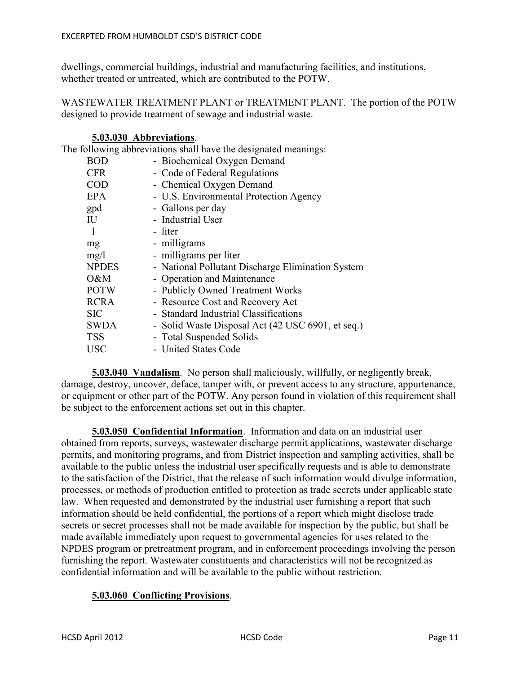dwellings, commercial buildings, industrial and manufacturing facilities, and institutions, whether treated or untreated, which are contributed to the POTW.

WASTEWATER TREATMENT PLANT or TREATMENT PLANT. The portion of the POTW designed to provide treatment of sewage and industrial waste.

#### **5.03.030 Abbreviations**.

The following abbreviations shall have the designated meanings:

| <b>BOD</b>   | - Biochemical Oxygen Demand                       |
|--------------|---------------------------------------------------|
| <b>CFR</b>   | - Code of Federal Regulations                     |
| <b>COD</b>   | - Chemical Oxygen Demand                          |
| <b>EPA</b>   | - U.S. Environmental Protection Agency            |
| gpd          | - Gallons per day                                 |
| IU           | - Industrial User                                 |
|              | - liter                                           |
| mg           | - milligrams                                      |
| mg/l         | - milligrams per liter                            |
| <b>NPDES</b> | - National Pollutant Discharge Elimination System |
| O&M          | - Operation and Maintenance                       |
| <b>POTW</b>  | - Publicly Owned Treatment Works                  |
| <b>RCRA</b>  | - Resource Cost and Recovery Act                  |
| <b>SIC</b>   | - Standard Industrial Classifications             |
| <b>SWDA</b>  | - Solid Waste Disposal Act (42 USC 6901, et seq.) |
| <b>TSS</b>   | - Total Suspended Solids                          |
| <b>USC</b>   | - United States Code                              |
|              |                                                   |

**5.03.040 Vandalism**. No person shall maliciously, willfully, or negligently break, damage, destroy, uncover, deface, tamper with, or prevent access to any structure, appurtenance, or equipment or other part of the POTW. Any person found in violation of this requirement shall be subject to the enforcement actions set out in this chapter.

**5.03.050 Confidential Information**. Information and data on an industrial user obtained from reports, surveys, wastewater discharge permit applications, wastewater discharge permits, and monitoring programs, and from District inspection and sampling activities, shall be available to the public unless the industrial user specifically requests and is able to demonstrate to the satisfaction of the District, that the release of such information would divulge information, processes, or methods of production entitled to protection as trade secrets under applicable state law. When requested and demonstrated by the industrial user furnishing a report that such information should be held confidential, the portions of a report which might disclose trade secrets or secret processes shall not be made available for inspection by the public, but shall be made available immediately upon request to governmental agencies for uses related to the NPDES program or pretreatment program, and in enforcement proceedings involving the person furnishing the report. Wastewater constituents and characteristics will not be recognized as confidential information and will be available to the public without restriction.

## **5.03.060 Conflicting Provisions**.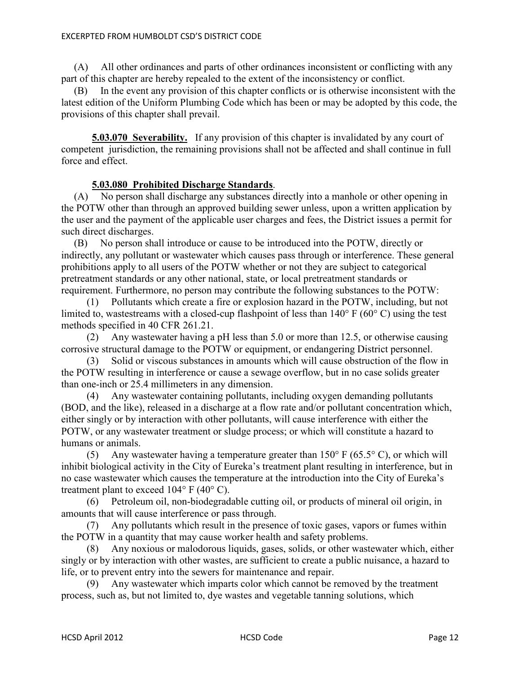(A) All other ordinances and parts of other ordinances inconsistent or conflicting with any part of this chapter are hereby repealed to the extent of the inconsistency or conflict.

 (B) In the event any provision of this chapter conflicts or is otherwise inconsistent with the latest edition of the Uniform Plumbing Code which has been or may be adopted by this code, the provisions of this chapter shall prevail.

**5.03.070 Severability.** If any provision of this chapter is invalidated by any court of competent jurisdiction, the remaining provisions shall not be affected and shall continue in full force and effect.

## **5.03.080 Prohibited Discharge Standards**.

 (A) No person shall discharge any substances directly into a manhole or other opening in the POTW other than through an approved building sewer unless, upon a written application by the user and the payment of the applicable user charges and fees, the District issues a permit for such direct discharges.

 (B) No person shall introduce or cause to be introduced into the POTW, directly or indirectly, any pollutant or wastewater which causes pass through or interference. These general prohibitions apply to all users of the POTW whether or not they are subject to categorical pretreatment standards or any other national, state, or local pretreatment standards or requirement. Furthermore, no person may contribute the following substances to the POTW:

 (1) Pollutants which create a fire or explosion hazard in the POTW, including, but not limited to, wastestreams with a closed-cup flashpoint of less than 140° F (60° C) using the test methods specified in 40 CFR 261.21.

 (2) Any wastewater having a pH less than 5.0 or more than 12.5, or otherwise causing corrosive structural damage to the POTW or equipment, or endangering District personnel.

 (3) Solid or viscous substances in amounts which will cause obstruction of the flow in the POTW resulting in interference or cause a sewage overflow, but in no case solids greater than one-inch or 25.4 millimeters in any dimension.

 (4) Any wastewater containing pollutants, including oxygen demanding pollutants (BOD, and the like), released in a discharge at a flow rate and/or pollutant concentration which, either singly or by interaction with other pollutants, will cause interference with either the POTW, or any wastewater treatment or sludge process; or which will constitute a hazard to humans or animals.

 (5) Any wastewater having a temperature greater than 150° F (65.5° C), or which will inhibit biological activity in the City of Eureka's treatment plant resulting in interference, but in no case wastewater which causes the temperature at the introduction into the City of Eureka's treatment plant to exceed  $104^{\circ}$  F (40 $^{\circ}$  C).

 (6) Petroleum oil, non-biodegradable cutting oil, or products of mineral oil origin, in amounts that will cause interference or pass through.

 (7) Any pollutants which result in the presence of toxic gases, vapors or fumes within the POTW in a quantity that may cause worker health and safety problems.

 (8) Any noxious or malodorous liquids, gases, solids, or other wastewater which, either singly or by interaction with other wastes, are sufficient to create a public nuisance, a hazard to life, or to prevent entry into the sewers for maintenance and repair.

Any wastewater which imparts color which cannot be removed by the treatment process, such as, but not limited to, dye wastes and vegetable tanning solutions, which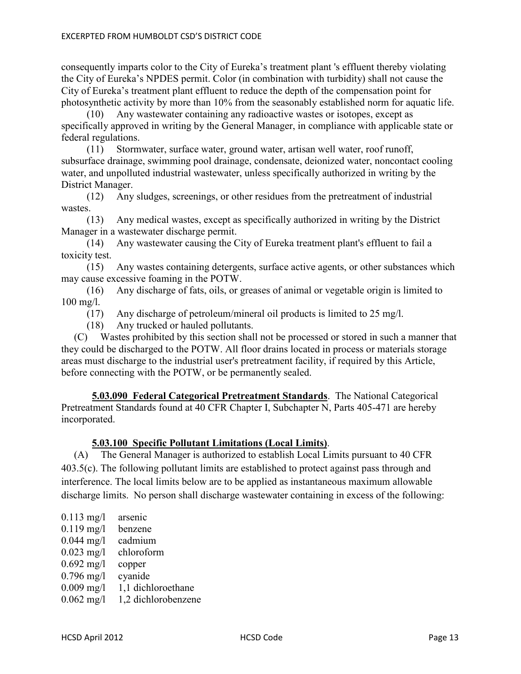consequently imparts color to the City of Eureka's treatment plant 's effluent thereby violating the City of Eureka's NPDES permit. Color (in combination with turbidity) shall not cause the City of Eureka's treatment plant effluent to reduce the depth of the compensation point for photosynthetic activity by more than 10% from the seasonably established norm for aquatic life.

 (10) Any wastewater containing any radioactive wastes or isotopes, except as specifically approved in writing by the General Manager, in compliance with applicable state or federal regulations.

 (11) Stormwater, surface water, ground water, artisan well water, roof runoff, subsurface drainage, swimming pool drainage, condensate, deionized water, noncontact cooling water, and unpolluted industrial wastewater, unless specifically authorized in writing by the District Manager.

 (12) Any sludges, screenings, or other residues from the pretreatment of industrial wastes.

 (13) Any medical wastes, except as specifically authorized in writing by the District Manager in a wastewater discharge permit.

 (14) Any wastewater causing the City of Eureka treatment plant's effluent to fail a toxicity test.

 (15) Any wastes containing detergents, surface active agents, or other substances which may cause excessive foaming in the POTW.

 (16) Any discharge of fats, oils, or greases of animal or vegetable origin is limited to 100 mg/l.

(17) Any discharge of petroleum/mineral oil products is limited to 25 mg/l.

(18) Any trucked or hauled pollutants.

 (C) Wastes prohibited by this section shall not be processed or stored in such a manner that they could be discharged to the POTW. All floor drains located in process or materials storage areas must discharge to the industrial user's pretreatment facility, if required by this Article, before connecting with the POTW, or be permanently sealed.

**5.03.090 Federal Categorical Pretreatment Standards**. The National Categorical Pretreatment Standards found at 40 CFR Chapter I, Subchapter N, Parts 405-471 are hereby incorporated.

## **5.03.100 Specific Pollutant Limitations (Local Limits)**.

 (A) The General Manager is authorized to establish Local Limits pursuant to 40 CFR 403.5(c). The following pollutant limits are established to protect against pass through and interference. The local limits below are to be applied as instantaneous maximum allowable discharge limits. No person shall discharge wastewater containing in excess of the following:

| $0.113$ mg/l<br>$0.119$ mg/l<br>$0.044$ mg/l<br>$0.023$ mg/l<br>$0.692$ mg/l<br>$0.796$ mg/l | arsenic<br>benzene<br>cadmium<br>chloroform<br>copper<br>cyanide |
|----------------------------------------------------------------------------------------------|------------------------------------------------------------------|
|                                                                                              |                                                                  |
| $0.009$ mg/l                                                                                 | 1,1 dichloroethane                                               |
| $0.062$ mg/l                                                                                 | 1,2 dichlorobenzene                                              |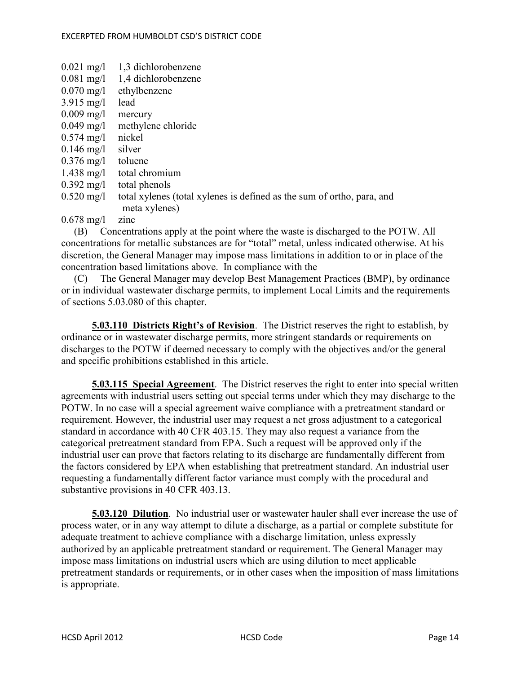| $0.021 \text{ mg}/1$ | 1,3 dichlorobenzene                                                    |
|----------------------|------------------------------------------------------------------------|
| $0.081$ mg/l         | 1,4 dichlorobenzene                                                    |
| $0.070 \text{ mg/l}$ | ethylbenzene                                                           |
| $3.915 \text{ mg/l}$ | lead                                                                   |
| $0.009$ mg/l         | mercury                                                                |
| $0.049$ mg/l         | methylene chloride                                                     |
| $0.574 \text{ mg}/1$ | nickel                                                                 |
| $0.146$ mg/l         | silver                                                                 |
| $0.376 \text{ mg/l}$ | toluene                                                                |
| $1.438 \text{ mg}/1$ | total chromium                                                         |
| $0.392 \text{ mg}/1$ | total phenols                                                          |
| $0.520 \text{ mg}/1$ | total xylenes (total xylenes is defined as the sum of ortho, para, and |
|                      | meta xylenes)                                                          |
| $0.678 \text{ mg}$ / | zinc                                                                   |

 (B) Concentrations apply at the point where the waste is discharged to the POTW. All concentrations for metallic substances are for "total" metal, unless indicated otherwise. At his discretion, the General Manager may impose mass limitations in addition to or in place of the concentration based limitations above. In compliance with the

 (C) The General Manager may develop Best Management Practices (BMP), by ordinance or in individual wastewater discharge permits, to implement Local Limits and the requirements of sections 5.03.080 of this chapter.

 **5.03.110 Districts Right's of Revision**. The District reserves the right to establish, by ordinance or in wastewater discharge permits, more stringent standards or requirements on discharges to the POTW if deemed necessary to comply with the objectives and/or the general and specific prohibitions established in this article.

**5.03.115 Special Agreement**. The District reserves the right to enter into special written agreements with industrial users setting out special terms under which they may discharge to the POTW. In no case will a special agreement waive compliance with a pretreatment standard or requirement. However, the industrial user may request a net gross adjustment to a categorical standard in accordance with 40 CFR 403.15. They may also request a variance from the categorical pretreatment standard from EPA. Such a request will be approved only if the industrial user can prove that factors relating to its discharge are fundamentally different from the factors considered by EPA when establishing that pretreatment standard. An industrial user requesting a fundamentally different factor variance must comply with the procedural and substantive provisions in 40 CFR 403.13.

**5.03.120 Dilution**. No industrial user or wastewater hauler shall ever increase the use of process water, or in any way attempt to dilute a discharge, as a partial or complete substitute for adequate treatment to achieve compliance with a discharge limitation, unless expressly authorized by an applicable pretreatment standard or requirement. The General Manager may impose mass limitations on industrial users which are using dilution to meet applicable pretreatment standards or requirements, or in other cases when the imposition of mass limitations is appropriate.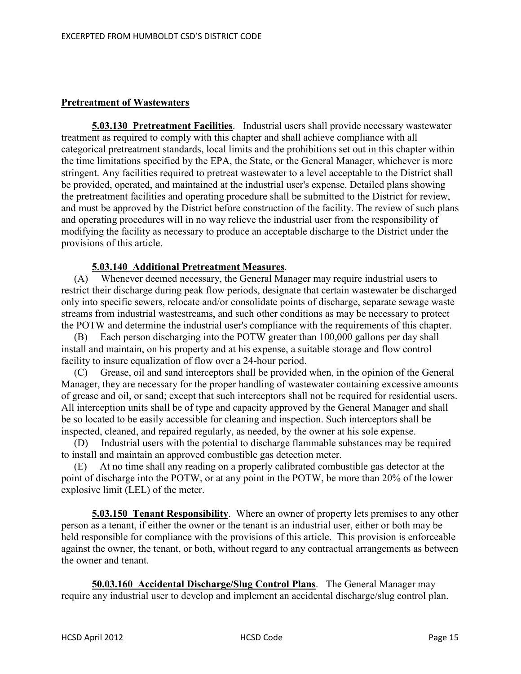# **Pretreatment of Wastewaters**

**5.03.130 Pretreatment Facilities**. Industrial users shall provide necessary wastewater treatment as required to comply with this chapter and shall achieve compliance with all categorical pretreatment standards, local limits and the prohibitions set out in this chapter within the time limitations specified by the EPA, the State, or the General Manager, whichever is more stringent. Any facilities required to pretreat wastewater to a level acceptable to the District shall be provided, operated, and maintained at the industrial user's expense. Detailed plans showing the pretreatment facilities and operating procedure shall be submitted to the District for review, and must be approved by the District before construction of the facility. The review of such plans and operating procedures will in no way relieve the industrial user from the responsibility of modifying the facility as necessary to produce an acceptable discharge to the District under the provisions of this article.

# **5.03.140 Additional Pretreatment Measures**.

 (A) Whenever deemed necessary, the General Manager may require industrial users to restrict their discharge during peak flow periods, designate that certain wastewater be discharged only into specific sewers, relocate and/or consolidate points of discharge, separate sewage waste streams from industrial wastestreams, and such other conditions as may be necessary to protect the POTW and determine the industrial user's compliance with the requirements of this chapter.

Each person discharging into the POTW greater than 100,000 gallons per day shall install and maintain, on his property and at his expense, a suitable storage and flow control facility to insure equalization of flow over a 24-hour period.

 (C) Grease, oil and sand interceptors shall be provided when, in the opinion of the General Manager, they are necessary for the proper handling of wastewater containing excessive amounts of grease and oil, or sand; except that such interceptors shall not be required for residential users. All interception units shall be of type and capacity approved by the General Manager and shall be so located to be easily accessible for cleaning and inspection. Such interceptors shall be inspected, cleaned, and repaired regularly, as needed, by the owner at his sole expense.

 (D) Industrial users with the potential to discharge flammable substances may be required to install and maintain an approved combustible gas detection meter.

 (E) At no time shall any reading on a properly calibrated combustible gas detector at the point of discharge into the POTW, or at any point in the POTW, be more than 20% of the lower explosive limit (LEL) of the meter.

**5.03.150 Tenant Responsibility**. Where an owner of property lets premises to any other person as a tenant, if either the owner or the tenant is an industrial user, either or both may be held responsible for compliance with the provisions of this article. This provision is enforceable against the owner, the tenant, or both, without regard to any contractual arrangements as between the owner and tenant.

**50.03.160 Accidental Discharge/Slug Control Plans**. The General Manager may require any industrial user to develop and implement an accidental discharge/slug control plan.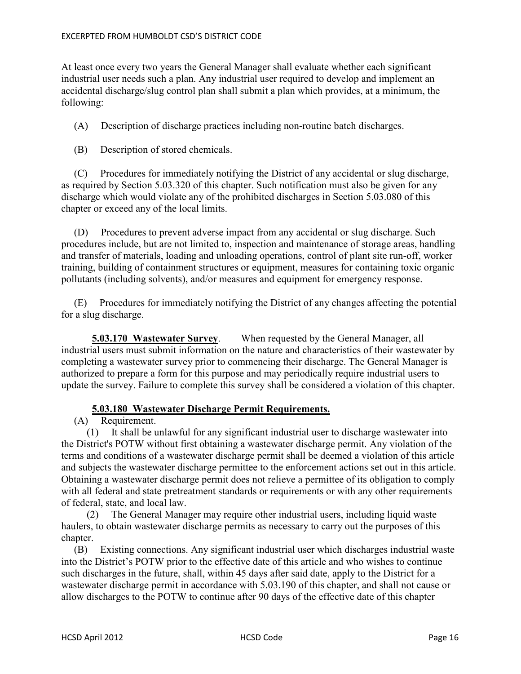At least once every two years the General Manager shall evaluate whether each significant industrial user needs such a plan. Any industrial user required to develop and implement an accidental discharge/slug control plan shall submit a plan which provides, at a minimum, the following:

(A) Description of discharge practices including non-routine batch discharges.

(B) Description of stored chemicals.

 (C) Procedures for immediately notifying the District of any accidental or slug discharge, as required by Section 5.03.320 of this chapter. Such notification must also be given for any discharge which would violate any of the prohibited discharges in Section 5.03.080 of this chapter or exceed any of the local limits.

 (D) Procedures to prevent adverse impact from any accidental or slug discharge. Such procedures include, but are not limited to, inspection and maintenance of storage areas, handling and transfer of materials, loading and unloading operations, control of plant site run-off, worker training, building of containment structures or equipment, measures for containing toxic organic pollutants (including solvents), and/or measures and equipment for emergency response.

 (E) Procedures for immediately notifying the District of any changes affecting the potential for a slug discharge.

 **5.03.170 Wastewater Survey**. When requested by the General Manager, all industrial users must submit information on the nature and characteristics of their wastewater by completing a wastewater survey prior to commencing their discharge. The General Manager is authorized to prepare a form for this purpose and may periodically require industrial users to update the survey. Failure to complete this survey shall be considered a violation of this chapter.

## **5.03.180 Wastewater Discharge Permit Requirements.**

(A) Requirement.

 (1) It shall be unlawful for any significant industrial user to discharge wastewater into the District's POTW without first obtaining a wastewater discharge permit. Any violation of the terms and conditions of a wastewater discharge permit shall be deemed a violation of this article and subjects the wastewater discharge permittee to the enforcement actions set out in this article. Obtaining a wastewater discharge permit does not relieve a permittee of its obligation to comply with all federal and state pretreatment standards or requirements or with any other requirements of federal, state, and local law.

 (2) The General Manager may require other industrial users, including liquid waste haulers, to obtain wastewater discharge permits as necessary to carry out the purposes of this chapter.

 (B) Existing connections. Any significant industrial user which discharges industrial waste into the District's POTW prior to the effective date of this article and who wishes to continue such discharges in the future, shall, within 45 days after said date, apply to the District for a wastewater discharge permit in accordance with 5.03.190 of this chapter, and shall not cause or allow discharges to the POTW to continue after 90 days of the effective date of this chapter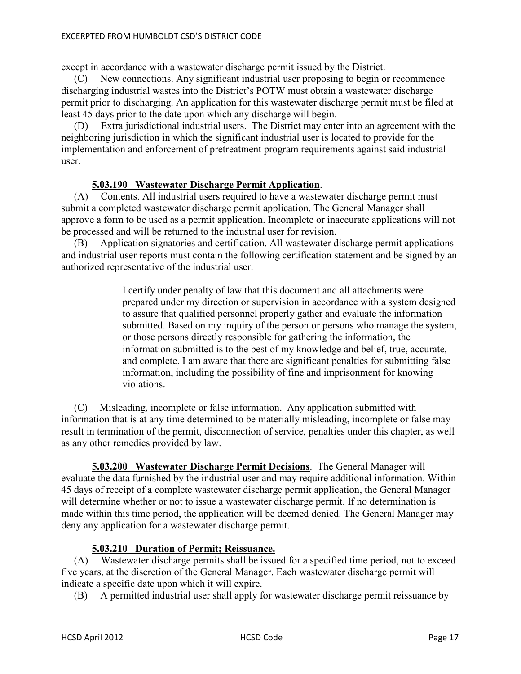except in accordance with a wastewater discharge permit issued by the District.

 (C) New connections. Any significant industrial user proposing to begin or recommence discharging industrial wastes into the District's POTW must obtain a wastewater discharge permit prior to discharging. An application for this wastewater discharge permit must be filed at least 45 days prior to the date upon which any discharge will begin.

 (D) Extra jurisdictional industrial users. The District may enter into an agreement with the neighboring jurisdiction in which the significant industrial user is located to provide for the implementation and enforcement of pretreatment program requirements against said industrial user.

# **5.03.190 Wastewater Discharge Permit Application**.

 (A) Contents. All industrial users required to have a wastewater discharge permit must submit a completed wastewater discharge permit application. The General Manager shall approve a form to be used as a permit application. Incomplete or inaccurate applications will not be processed and will be returned to the industrial user for revision.

 (B) Application signatories and certification. All wastewater discharge permit applications and industrial user reports must contain the following certification statement and be signed by an authorized representative of the industrial user.

> I certify under penalty of law that this document and all attachments were prepared under my direction or supervision in accordance with a system designed to assure that qualified personnel properly gather and evaluate the information submitted. Based on my inquiry of the person or persons who manage the system, or those persons directly responsible for gathering the information, the information submitted is to the best of my knowledge and belief, true, accurate, and complete. I am aware that there are significant penalties for submitting false information, including the possibility of fine and imprisonment for knowing violations.

 (C) Misleading, incomplete or false information. Any application submitted with information that is at any time determined to be materially misleading, incomplete or false may result in termination of the permit, disconnection of service, penalties under this chapter, as well as any other remedies provided by law.

**5.03.200 Wastewater Discharge Permit Decisions**. The General Manager will evaluate the data furnished by the industrial user and may require additional information. Within 45 days of receipt of a complete wastewater discharge permit application, the General Manager will determine whether or not to issue a wastewater discharge permit. If no determination is made within this time period, the application will be deemed denied. The General Manager may deny any application for a wastewater discharge permit.

## **5.03.210 Duration of Permit; Reissuance.**

 (A) Wastewater discharge permits shall be issued for a specified time period, not to exceed five years, at the discretion of the General Manager. Each wastewater discharge permit will indicate a specific date upon which it will expire.

(B) A permitted industrial user shall apply for wastewater discharge permit reissuance by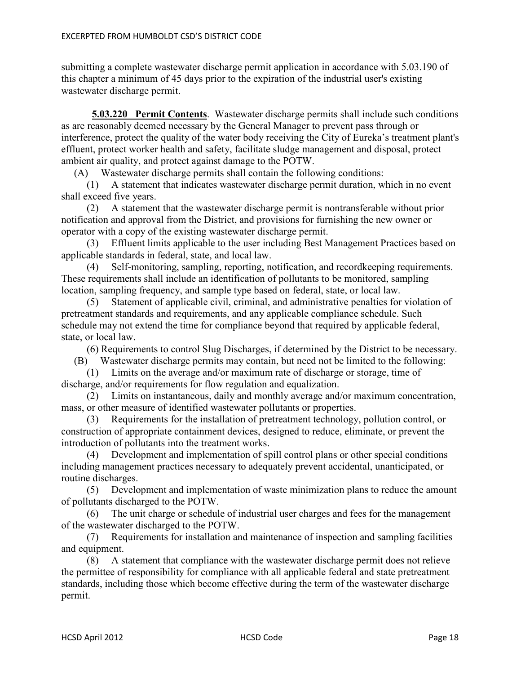submitting a complete wastewater discharge permit application in accordance with 5.03.190 of this chapter a minimum of 45 days prior to the expiration of the industrial user's existing wastewater discharge permit.

**5.03.220 Permit Contents**. Wastewater discharge permits shall include such conditions as are reasonably deemed necessary by the General Manager to prevent pass through or interference, protect the quality of the water body receiving the City of Eureka's treatment plant's effluent, protect worker health and safety, facilitate sludge management and disposal, protect ambient air quality, and protect against damage to the POTW.

(A) Wastewater discharge permits shall contain the following conditions:

 (1) A statement that indicates wastewater discharge permit duration, which in no event shall exceed five years.

 (2) A statement that the wastewater discharge permit is nontransferable without prior notification and approval from the District, and provisions for furnishing the new owner or operator with a copy of the existing wastewater discharge permit.

 (3) Effluent limits applicable to the user including Best Management Practices based on applicable standards in federal, state, and local law.

 (4) Self-monitoring, sampling, reporting, notification, and recordkeeping requirements. These requirements shall include an identification of pollutants to be monitored, sampling location, sampling frequency, and sample type based on federal, state, or local law.

 (5) Statement of applicable civil, criminal, and administrative penalties for violation of pretreatment standards and requirements, and any applicable compliance schedule. Such schedule may not extend the time for compliance beyond that required by applicable federal, state, or local law.

(6) Requirements to control Slug Discharges, if determined by the District to be necessary.

(B) Wastewater discharge permits may contain, but need not be limited to the following:

 (1) Limits on the average and/or maximum rate of discharge or storage, time of discharge, and/or requirements for flow regulation and equalization.

 (2) Limits on instantaneous, daily and monthly average and/or maximum concentration, mass, or other measure of identified wastewater pollutants or properties.

 (3) Requirements for the installation of pretreatment technology, pollution control, or construction of appropriate containment devices, designed to reduce, eliminate, or prevent the introduction of pollutants into the treatment works.

 (4) Development and implementation of spill control plans or other special conditions including management practices necessary to adequately prevent accidental, unanticipated, or routine discharges.

 (5) Development and implementation of waste minimization plans to reduce the amount of pollutants discharged to the POTW.

 (6) The unit charge or schedule of industrial user charges and fees for the management of the wastewater discharged to the POTW.

 (7) Requirements for installation and maintenance of inspection and sampling facilities and equipment.

 (8) A statement that compliance with the wastewater discharge permit does not relieve the permittee of responsibility for compliance with all applicable federal and state pretreatment standards, including those which become effective during the term of the wastewater discharge permit.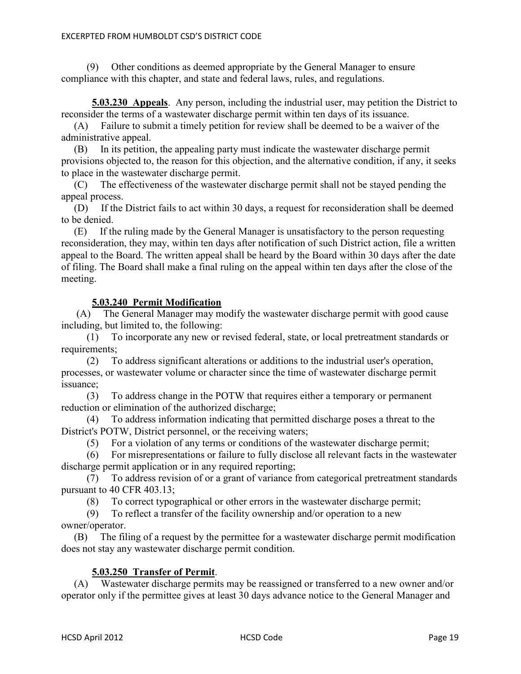(9) Other conditions as deemed appropriate by the General Manager to ensure compliance with this chapter, and state and federal laws, rules, and regulations.

**5.03.230 Appeals**. Any person, including the industrial user, may petition the District to reconsider the terms of a wastewater discharge permit within ten days of its issuance.

 (A) Failure to submit a timely petition for review shall be deemed to be a waiver of the administrative appeal.

 (B) In its petition, the appealing party must indicate the wastewater discharge permit provisions objected to, the reason for this objection, and the alternative condition, if any, it seeks to place in the wastewater discharge permit.

 (C) The effectiveness of the wastewater discharge permit shall not be stayed pending the appeal process.

 (D) If the District fails to act within 30 days, a request for reconsideration shall be deemed to be denied.

 (E) If the ruling made by the General Manager is unsatisfactory to the person requesting reconsideration, they may, within ten days after notification of such District action, file a written appeal to the Board. The written appeal shall be heard by the Board within 30 days after the date of filing. The Board shall make a final ruling on the appeal within ten days after the close of the meeting.

## **5.03.240 Permit Modification**

 (A) The General Manager may modify the wastewater discharge permit with good cause including, but limited to, the following:

 (1) To incorporate any new or revised federal, state, or local pretreatment standards or requirements:

 (2) To address significant alterations or additions to the industrial user's operation, processes, or wastewater volume or character since the time of wastewater discharge permit issuance;

 (3) To address change in the POTW that requires either a temporary or permanent reduction or elimination of the authorized discharge;

 (4) To address information indicating that permitted discharge poses a threat to the District's POTW, District personnel, or the receiving waters;

(5) For a violation of any terms or conditions of the wastewater discharge permit;

 (6) For misrepresentations or failure to fully disclose all relevant facts in the wastewater discharge permit application or in any required reporting;

 (7) To address revision of or a grant of variance from categorical pretreatment standards pursuant to 40 CFR 403.13;

(8) To correct typographical or other errors in the wastewater discharge permit;

 (9) To reflect a transfer of the facility ownership and/or operation to a new owner/operator.

 (B) The filing of a request by the permittee for a wastewater discharge permit modification does not stay any wastewater discharge permit condition.

## **5.03.250 Transfer of Permit**.

 (A) Wastewater discharge permits may be reassigned or transferred to a new owner and/or operator only if the permittee gives at least 30 days advance notice to the General Manager and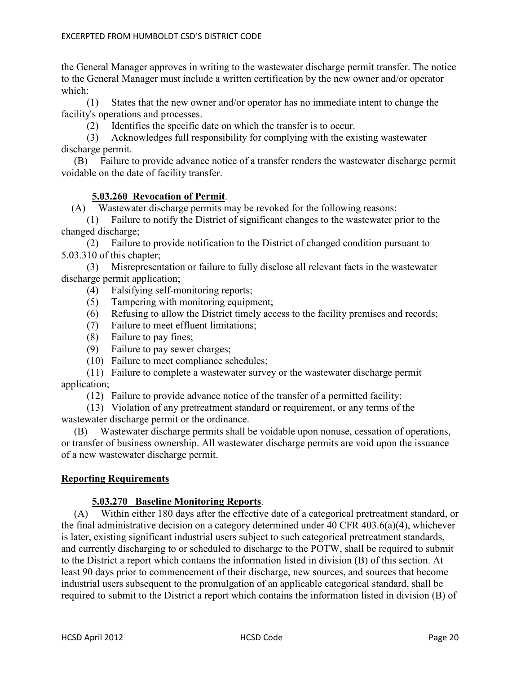the General Manager approves in writing to the wastewater discharge permit transfer. The notice to the General Manager must include a written certification by the new owner and/or operator which:

 (1) States that the new owner and/or operator has no immediate intent to change the facility's operations and processes.

(2) Identifies the specific date on which the transfer is to occur.

 (3) Acknowledges full responsibility for complying with the existing wastewater discharge permit.

 (B) Failure to provide advance notice of a transfer renders the wastewater discharge permit voidable on the date of facility transfer.

# **5.03.260 Revocation of Permit**.

(A) Wastewater discharge permits may be revoked for the following reasons:

 (1) Failure to notify the District of significant changes to the wastewater prior to the changed discharge;

 (2) Failure to provide notification to the District of changed condition pursuant to 5.03.310 of this chapter;

 (3) Misrepresentation or failure to fully disclose all relevant facts in the wastewater discharge permit application;

- (4) Falsifying self-monitoring reports;
- (5) Tampering with monitoring equipment;
- (6) Refusing to allow the District timely access to the facility premises and records;
- (7) Failure to meet effluent limitations;
- (8) Failure to pay fines;
- (9) Failure to pay sewer charges;
- (10) Failure to meet compliance schedules;

 (11) Failure to complete a wastewater survey or the wastewater discharge permit application;

(12) Failure to provide advance notice of the transfer of a permitted facility;

 (13) Violation of any pretreatment standard or requirement, or any terms of the wastewater discharge permit or the ordinance.

 (B) Wastewater discharge permits shall be voidable upon nonuse, cessation of operations, or transfer of business ownership. All wastewater discharge permits are void upon the issuance of a new wastewater discharge permit.

## **Reporting Requirements**

## **5.03.270 Baseline Monitoring Reports**.

 (A) Within either 180 days after the effective date of a categorical pretreatment standard, or the final administrative decision on a category determined under 40 CFR 403.6(a)(4), whichever is later, existing significant industrial users subject to such categorical pretreatment standards, and currently discharging to or scheduled to discharge to the POTW, shall be required to submit to the District a report which contains the information listed in division (B) of this section. At least 90 days prior to commencement of their discharge, new sources, and sources that become industrial users subsequent to the promulgation of an applicable categorical standard, shall be required to submit to the District a report which contains the information listed in division (B) of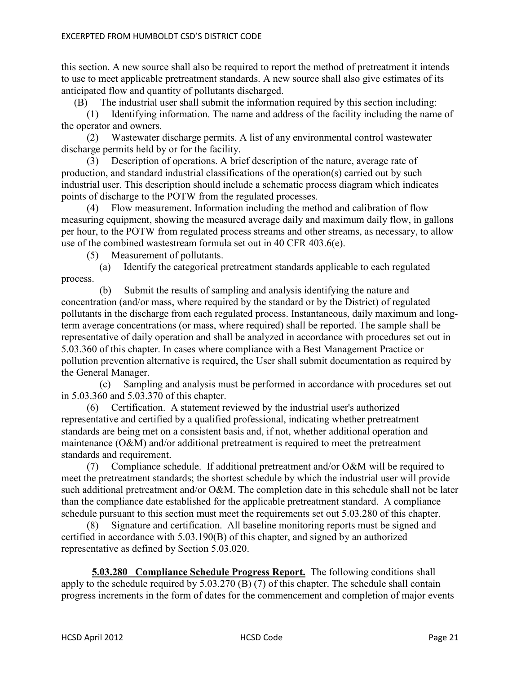this section. A new source shall also be required to report the method of pretreatment it intends to use to meet applicable pretreatment standards. A new source shall also give estimates of its anticipated flow and quantity of pollutants discharged.

(B) The industrial user shall submit the information required by this section including:

 (1) Identifying information. The name and address of the facility including the name of the operator and owners.

 (2) Wastewater discharge permits. A list of any environmental control wastewater discharge permits held by or for the facility.

 (3) Description of operations. A brief description of the nature, average rate of production, and standard industrial classifications of the operation(s) carried out by such industrial user. This description should include a schematic process diagram which indicates points of discharge to the POTW from the regulated processes.

 (4) Flow measurement. Information including the method and calibration of flow measuring equipment, showing the measured average daily and maximum daily flow, in gallons per hour, to the POTW from regulated process streams and other streams, as necessary, to allow use of the combined wastestream formula set out in 40 CFR 403.6(e).

(5) Measurement of pollutants.

 (a) Identify the categorical pretreatment standards applicable to each regulated process.

 (b) Submit the results of sampling and analysis identifying the nature and concentration (and/or mass, where required by the standard or by the District) of regulated pollutants in the discharge from each regulated process. Instantaneous, daily maximum and longterm average concentrations (or mass, where required) shall be reported. The sample shall be representative of daily operation and shall be analyzed in accordance with procedures set out in 5.03.360 of this chapter. In cases where compliance with a Best Management Practice or pollution prevention alternative is required, the User shall submit documentation as required by the General Manager.

 (c) Sampling and analysis must be performed in accordance with procedures set out in 5.03.360 and 5.03.370 of this chapter.

 (6) Certification. A statement reviewed by the industrial user's authorized representative and certified by a qualified professional, indicating whether pretreatment standards are being met on a consistent basis and, if not, whether additional operation and maintenance (O&M) and/or additional pretreatment is required to meet the pretreatment standards and requirement.

 (7) Compliance schedule. If additional pretreatment and/or O&M will be required to meet the pretreatment standards; the shortest schedule by which the industrial user will provide such additional pretreatment and/or O&M. The completion date in this schedule shall not be later than the compliance date established for the applicable pretreatment standard. A compliance schedule pursuant to this section must meet the requirements set out 5.03.280 of this chapter.

 (8) Signature and certification. All baseline monitoring reports must be signed and certified in accordance with 5.03.190(B) of this chapter, and signed by an authorized representative as defined by Section 5.03.020.

**5.03.280 Compliance Schedule Progress Report.** The following conditions shall apply to the schedule required by 5.03.270 (B) (7) of this chapter. The schedule shall contain progress increments in the form of dates for the commencement and completion of major events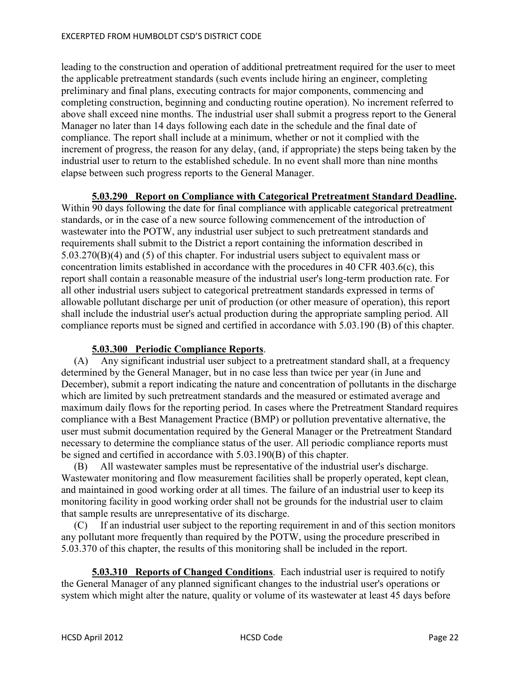leading to the construction and operation of additional pretreatment required for the user to meet the applicable pretreatment standards (such events include hiring an engineer, completing preliminary and final plans, executing contracts for major components, commencing and completing construction, beginning and conducting routine operation). No increment referred to above shall exceed nine months. The industrial user shall submit a progress report to the General Manager no later than 14 days following each date in the schedule and the final date of compliance. The report shall include at a minimum, whether or not it complied with the increment of progress, the reason for any delay, (and, if appropriate) the steps being taken by the industrial user to return to the established schedule. In no event shall more than nine months elapse between such progress reports to the General Manager.

#### **5.03.290 Report on Compliance with Categorical Pretreatment Standard Deadline.**

Within 90 days following the date for final compliance with applicable categorical pretreatment standards, or in the case of a new source following commencement of the introduction of wastewater into the POTW, any industrial user subject to such pretreatment standards and requirements shall submit to the District a report containing the information described in 5.03.270(B)(4) and (5) of this chapter. For industrial users subject to equivalent mass or concentration limits established in accordance with the procedures in 40 CFR 403.6(c), this report shall contain a reasonable measure of the industrial user's long-term production rate. For all other industrial users subject to categorical pretreatment standards expressed in terms of allowable pollutant discharge per unit of production (or other measure of operation), this report shall include the industrial user's actual production during the appropriate sampling period. All compliance reports must be signed and certified in accordance with 5.03.190 (B) of this chapter.

## **5.03.300 Periodic Compliance Reports**.

 (A) Any significant industrial user subject to a pretreatment standard shall, at a frequency determined by the General Manager, but in no case less than twice per year (in June and December), submit a report indicating the nature and concentration of pollutants in the discharge which are limited by such pretreatment standards and the measured or estimated average and maximum daily flows for the reporting period. In cases where the Pretreatment Standard requires compliance with a Best Management Practice (BMP) or pollution preventative alternative, the user must submit documentation required by the General Manager or the Pretreatment Standard necessary to determine the compliance status of the user. All periodic compliance reports must be signed and certified in accordance with 5.03.190(B) of this chapter.

 (B) All wastewater samples must be representative of the industrial user's discharge. Wastewater monitoring and flow measurement facilities shall be properly operated, kept clean, and maintained in good working order at all times. The failure of an industrial user to keep its monitoring facility in good working order shall not be grounds for the industrial user to claim that sample results are unrepresentative of its discharge.

 (C) If an industrial user subject to the reporting requirement in and of this section monitors any pollutant more frequently than required by the POTW, using the procedure prescribed in 5.03.370 of this chapter, the results of this monitoring shall be included in the report.

**5.03.310 Reports of Changed Conditions**. Each industrial user is required to notify the General Manager of any planned significant changes to the industrial user's operations or system which might alter the nature, quality or volume of its wastewater at least 45 days before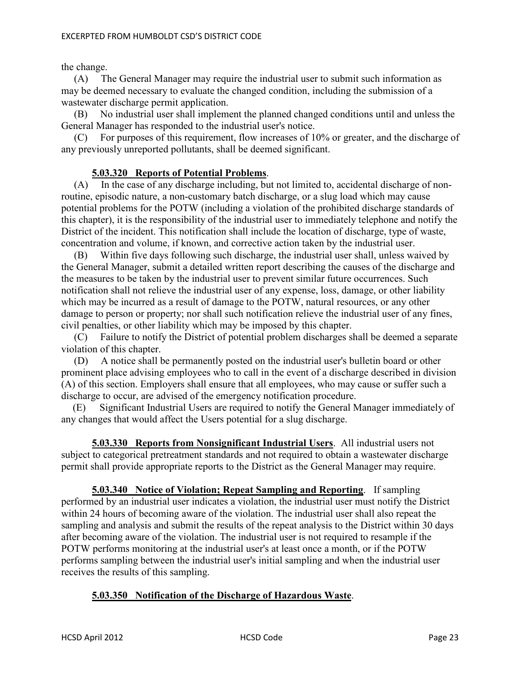the change.

 (A) The General Manager may require the industrial user to submit such information as may be deemed necessary to evaluate the changed condition, including the submission of a wastewater discharge permit application.

 (B) No industrial user shall implement the planned changed conditions until and unless the General Manager has responded to the industrial user's notice.

 (C) For purposes of this requirement, flow increases of 10% or greater, and the discharge of any previously unreported pollutants, shall be deemed significant.

# **5.03.320 Reports of Potential Problems**.

 $(A)$  In the case of any discharge including, but not limited to, accidental discharge of nonroutine, episodic nature, a non-customary batch discharge, or a slug load which may cause potential problems for the POTW (including a violation of the prohibited discharge standards of this chapter), it is the responsibility of the industrial user to immediately telephone and notify the District of the incident. This notification shall include the location of discharge, type of waste, concentration and volume, if known, and corrective action taken by the industrial user.

 (B) Within five days following such discharge, the industrial user shall, unless waived by the General Manager, submit a detailed written report describing the causes of the discharge and the measures to be taken by the industrial user to prevent similar future occurrences. Such notification shall not relieve the industrial user of any expense, loss, damage, or other liability which may be incurred as a result of damage to the POTW, natural resources, or any other damage to person or property; nor shall such notification relieve the industrial user of any fines, civil penalties, or other liability which may be imposed by this chapter.

 (C) Failure to notify the District of potential problem discharges shall be deemed a separate violation of this chapter.

 (D) A notice shall be permanently posted on the industrial user's bulletin board or other prominent place advising employees who to call in the event of a discharge described in division (A) of this section. Employers shall ensure that all employees, who may cause or suffer such a discharge to occur, are advised of the emergency notification procedure.

(E) Significant Industrial Users are required to notify the General Manager immediately of any changes that would affect the Users potential for a slug discharge.

**5.03.330 Reports from Nonsignificant Industrial Users**. All industrial users not subject to categorical pretreatment standards and not required to obtain a wastewater discharge permit shall provide appropriate reports to the District as the General Manager may require.

**5.03.340 Notice of Violation; Repeat Sampling and Reporting**. If sampling performed by an industrial user indicates a violation, the industrial user must notify the District within 24 hours of becoming aware of the violation. The industrial user shall also repeat the sampling and analysis and submit the results of the repeat analysis to the District within 30 days after becoming aware of the violation. The industrial user is not required to resample if the POTW performs monitoring at the industrial user's at least once a month, or if the POTW performs sampling between the industrial user's initial sampling and when the industrial user receives the results of this sampling.

## **5.03.350 Notification of the Discharge of Hazardous Waste**.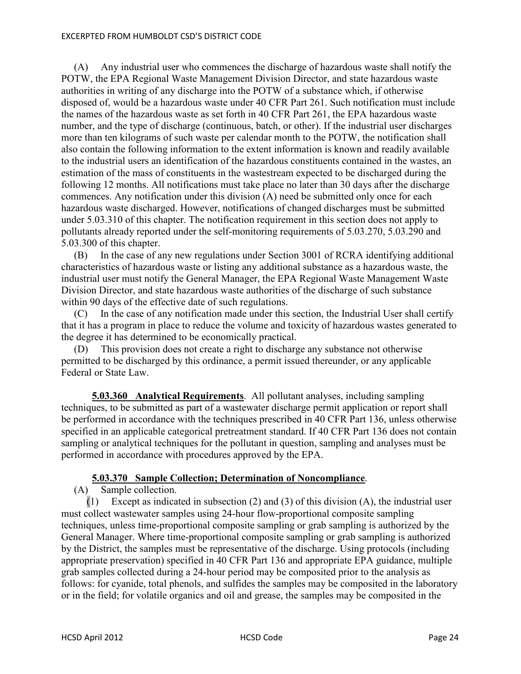#### EXCERPTED FROM HUMBOLDT CSD'S DISTRICT CODE

 (A) Any industrial user who commences the discharge of hazardous waste shall notify the POTW, the EPA Regional Waste Management Division Director, and state hazardous waste authorities in writing of any discharge into the POTW of a substance which, if otherwise disposed of, would be a hazardous waste under 40 CFR Part 261. Such notification must include the names of the hazardous waste as set forth in 40 CFR Part 261, the EPA hazardous waste number, and the type of discharge (continuous, batch, or other). If the industrial user discharges more than ten kilograms of such waste per calendar month to the POTW, the notification shall also contain the following information to the extent information is known and readily available to the industrial users an identification of the hazardous constituents contained in the wastes, an estimation of the mass of constituents in the wastestream expected to be discharged during the following 12 months. All notifications must take place no later than 30 days after the discharge commences. Any notification under this division (A) need be submitted only once for each hazardous waste discharged. However, notifications of changed discharges must be submitted under 5.03.310 of this chapter. The notification requirement in this section does not apply to pollutants already reported under the self-monitoring requirements of 5.03.270, 5.03.290 and 5.03.300 of this chapter.

 (B) In the case of any new regulations under Section 3001 of RCRA identifying additional characteristics of hazardous waste or listing any additional substance as a hazardous waste, the industrial user must notify the General Manager, the EPA Regional Waste Management Waste Division Director, and state hazardous waste authorities of the discharge of such substance within 90 days of the effective date of such regulations.

 (C) In the case of any notification made under this section, the Industrial User shall certify that it has a program in place to reduce the volume and toxicity of hazardous wastes generated to the degree it has determined to be economically practical.

 (D) This provision does not create a right to discharge any substance not otherwise permitted to be discharged by this ordinance, a permit issued thereunder, or any applicable Federal or State Law.

**5.03.360 Analytical Requirements**. All pollutant analyses, including sampling techniques, to be submitted as part of a wastewater discharge permit application or report shall be performed in accordance with the techniques prescribed in 40 CFR Part 136, unless otherwise specified in an applicable categorical pretreatment standard. If 40 CFR Part 136 does not contain sampling or analytical techniques for the pollutant in question, sampling and analyses must be performed in accordance with procedures approved by the EPA.

## **5.03.370 Sample Collection; Determination of Noncompliance**.

(A) Sample collection.

 (1) Except as indicated in subsection (2) and (3) of this division (A), the industrial user must collect wastewater samples using 24-hour flow-proportional composite sampling techniques, unless time-proportional composite sampling or grab sampling is authorized by the General Manager. Where time-proportional composite sampling or grab sampling is authorized by the District, the samples must be representative of the discharge. Using protocols (including appropriate preservation) specified in 40 CFR Part 136 and appropriate EPA guidance, multiple grab samples collected during a 24-hour period may be composited prior to the analysis as follows: for cyanide, total phenols, and sulfides the samples may be composited in the laboratory or in the field; for volatile organics and oil and grease, the samples may be composited in the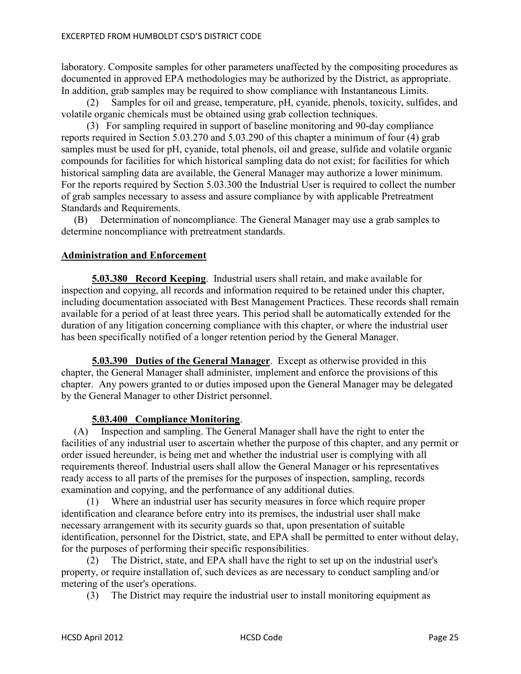laboratory. Composite samples for other parameters unaffected by the compositing procedures as documented in approved EPA methodologies may be authorized by the District, as appropriate. In addition, grab samples may be required to show compliance with Instantaneous Limits.

 (2) Samples for oil and grease, temperature, pH, cyanide, phenols, toxicity, sulfides, and volatile organic chemicals must be obtained using grab collection techniques.

 (3) For sampling required in support of baseline monitoring and 90-day compliance reports required in Section 5.03.270 and 5.03.290 of this chapter a minimum of four (4) grab samples must be used for pH, cyanide, total phenols, oil and grease, sulfide and volatile organic compounds for facilities for which historical sampling data do not exist; for facilities for which historical sampling data are available, the General Manager may authorize a lower minimum. For the reports required by Section 5.03.300 the Industrial User is required to collect the number of grab samples necessary to assess and assure compliance by with applicable Pretreatment Standards and Requirements.

 (B) Determination of noncompliance. The General Manager may use a grab samples to determine noncompliance with pretreatment standards.

## **Administration and Enforcement**

**5.03.380 Record Keeping**. Industrial users shall retain, and make available for inspection and copying, all records and information required to be retained under this chapter, including documentation associated with Best Management Practices. These records shall remain available for a period of at least three years. This period shall be automatically extended for the duration of any litigation concerning compliance with this chapter, or where the industrial user has been specifically notified of a longer retention period by the General Manager.

**5.03.390 Duties of the General Manager**. Except as otherwise provided in this chapter, the General Manager shall administer, implement and enforce the provisions of this chapter. Any powers granted to or duties imposed upon the General Manager may be delegated by the General Manager to other District personnel.

## **5.03.400 Compliance Monitoring**.

 (A) Inspection and sampling. The General Manager shall have the right to enter the facilities of any industrial user to ascertain whether the purpose of this chapter, and any permit or order issued hereunder, is being met and whether the industrial user is complying with all requirements thereof. Industrial users shall allow the General Manager or his representatives ready access to all parts of the premises for the purposes of inspection, sampling, records examination and copying, and the performance of any additional duties.

 (1) Where an industrial user has security measures in force which require proper identification and clearance before entry into its premises, the industrial user shall make necessary arrangement with its security guards so that, upon presentation of suitable identification, personnel for the District, state, and EPA shall be permitted to enter without delay, for the purposes of performing their specific responsibilities.

 (2) The District, state, and EPA shall have the right to set up on the industrial user's property, or require installation of, such devices as are necessary to conduct sampling and/or metering of the user's operations.

(3) The District may require the industrial user to install monitoring equipment as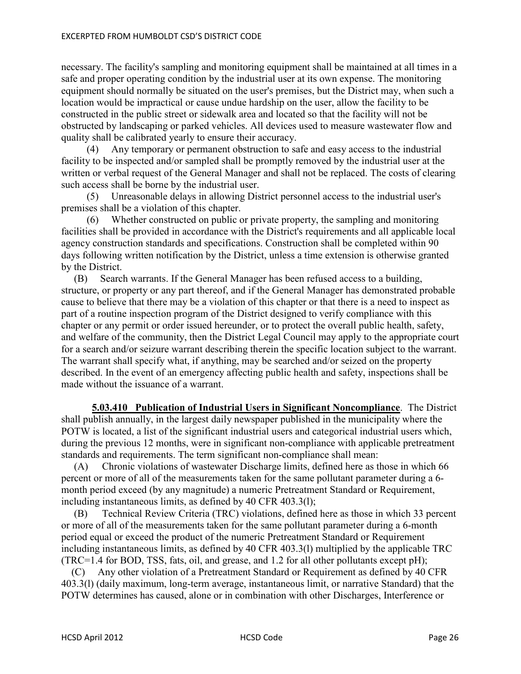necessary. The facility's sampling and monitoring equipment shall be maintained at all times in a safe and proper operating condition by the industrial user at its own expense. The monitoring equipment should normally be situated on the user's premises, but the District may, when such a location would be impractical or cause undue hardship on the user, allow the facility to be constructed in the public street or sidewalk area and located so that the facility will not be obstructed by landscaping or parked vehicles. All devices used to measure wastewater flow and quality shall be calibrated yearly to ensure their accuracy.

 (4) Any temporary or permanent obstruction to safe and easy access to the industrial facility to be inspected and/or sampled shall be promptly removed by the industrial user at the written or verbal request of the General Manager and shall not be replaced. The costs of clearing such access shall be borne by the industrial user.

 (5) Unreasonable delays in allowing District personnel access to the industrial user's premises shall be a violation of this chapter.

 (6) Whether constructed on public or private property, the sampling and monitoring facilities shall be provided in accordance with the District's requirements and all applicable local agency construction standards and specifications. Construction shall be completed within 90 days following written notification by the District, unless a time extension is otherwise granted by the District.

 (B) Search warrants. If the General Manager has been refused access to a building, structure, or property or any part thereof, and if the General Manager has demonstrated probable cause to believe that there may be a violation of this chapter or that there is a need to inspect as part of a routine inspection program of the District designed to verify compliance with this chapter or any permit or order issued hereunder, or to protect the overall public health, safety, and welfare of the community, then the District Legal Council may apply to the appropriate court for a search and/or seizure warrant describing therein the specific location subject to the warrant. The warrant shall specify what, if anything, may be searched and/or seized on the property described. In the event of an emergency affecting public health and safety, inspections shall be made without the issuance of a warrant.

**5.03.410 Publication of Industrial Users in Significant Noncompliance**. The District shall publish annually, in the largest daily newspaper published in the municipality where the POTW is located, a list of the significant industrial users and categorical industrial users which, during the previous 12 months, were in significant non-compliance with applicable pretreatment standards and requirements. The term significant non-compliance shall mean:

 (A) Chronic violations of wastewater Discharge limits, defined here as those in which 66 percent or more of all of the measurements taken for the same pollutant parameter during a 6 month period exceed (by any magnitude) a numeric Pretreatment Standard or Requirement, including instantaneous limits, as defined by 40 CFR 403.3(l);

 (B) Technical Review Criteria (TRC) violations, defined here as those in which 33 percent or more of all of the measurements taken for the same pollutant parameter during a 6-month period equal or exceed the product of the numeric Pretreatment Standard or Requirement including instantaneous limits, as defined by 40 CFR 403.3(l) multiplied by the applicable TRC (TRC=1.4 for BOD, TSS, fats, oil, and grease, and 1.2 for all other pollutants except pH);

 (C) Any other violation of a Pretreatment Standard or Requirement as defined by 40 CFR 403.3(l) (daily maximum, long-term average, instantaneous limit, or narrative Standard) that the POTW determines has caused, alone or in combination with other Discharges, Interference or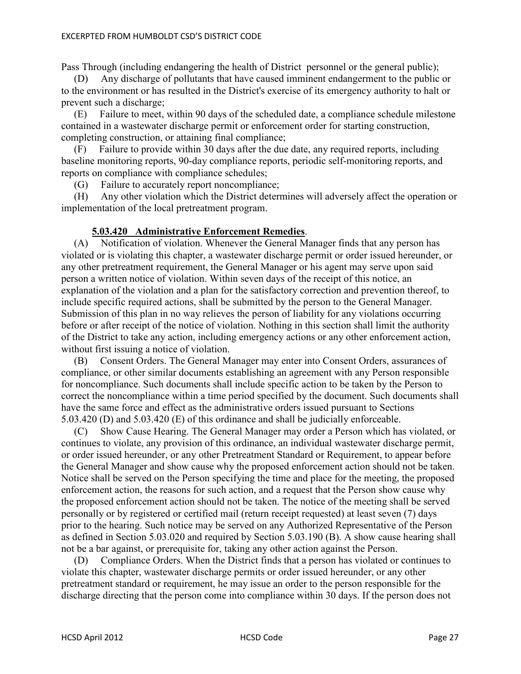Pass Through (including endangering the health of District personnel or the general public);

 (D) Any discharge of pollutants that have caused imminent endangerment to the public or to the environment or has resulted in the District's exercise of its emergency authority to halt or prevent such a discharge;

 (E) Failure to meet, within 90 days of the scheduled date, a compliance schedule milestone contained in a wastewater discharge permit or enforcement order for starting construction, completing construction, or attaining final compliance;

 (F) Failure to provide within 30 days after the due date, any required reports, including baseline monitoring reports, 90-day compliance reports, periodic self-monitoring reports, and reports on compliance with compliance schedules;

(G) Failure to accurately report noncompliance;

 (H) Any other violation which the District determines will adversely affect the operation or implementation of the local pretreatment program.

## **5.03.420 Administrative Enforcement Remedies**.

 (A) Notification of violation. Whenever the General Manager finds that any person has violated or is violating this chapter, a wastewater discharge permit or order issued hereunder, or any other pretreatment requirement, the General Manager or his agent may serve upon said person a written notice of violation. Within seven days of the receipt of this notice, an explanation of the violation and a plan for the satisfactory correction and prevention thereof, to include specific required actions, shall be submitted by the person to the General Manager. Submission of this plan in no way relieves the person of liability for any violations occurring before or after receipt of the notice of violation. Nothing in this section shall limit the authority of the District to take any action, including emergency actions or any other enforcement action, without first issuing a notice of violation.

 (B) Consent Orders. The General Manager may enter into Consent Orders, assurances of compliance, or other similar documents establishing an agreement with any Person responsible for noncompliance. Such documents shall include specific action to be taken by the Person to correct the noncompliance within a time period specified by the document. Such documents shall have the same force and effect as the administrative orders issued pursuant to Sections 5.03.420 (D) and 5.03.420 (E) of this ordinance and shall be judicially enforceable.

 (C) Show Cause Hearing. The General Manager may order a Person which has violated, or continues to violate, any provision of this ordinance, an individual wastewater discharge permit, or order issued hereunder, or any other Pretreatment Standard or Requirement, to appear before the General Manager and show cause why the proposed enforcement action should not be taken. Notice shall be served on the Person specifying the time and place for the meeting, the proposed enforcement action, the reasons for such action, and a request that the Person show cause why the proposed enforcement action should not be taken. The notice of the meeting shall be served personally or by registered or certified mail (return receipt requested) at least seven (7) days prior to the hearing. Such notice may be served on any Authorized Representative of the Person as defined in Section 5.03.020 and required by Section 5.03.190 (B). A show cause hearing shall not be a bar against, or prerequisite for, taking any other action against the Person.

 (D) Compliance Orders. When the District finds that a person has violated or continues to violate this chapter, wastewater discharge permits or order issued hereunder, or any other pretreatment standard or requirement, he may issue an order to the person responsible for the discharge directing that the person come into compliance within 30 days. If the person does not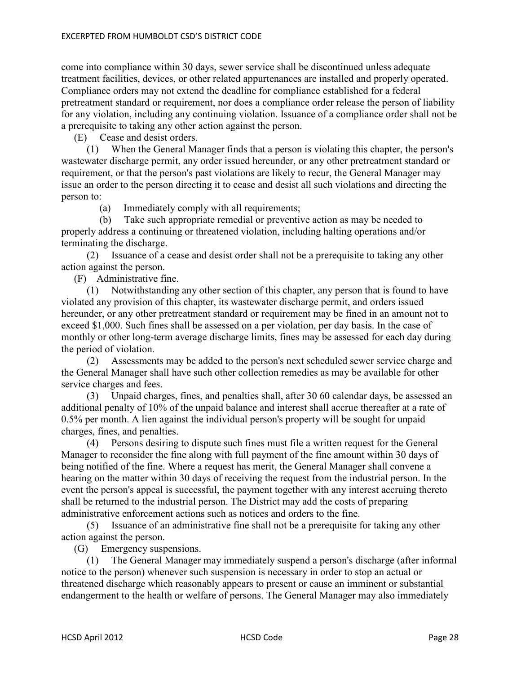come into compliance within 30 days, sewer service shall be discontinued unless adequate treatment facilities, devices, or other related appurtenances are installed and properly operated. Compliance orders may not extend the deadline for compliance established for a federal pretreatment standard or requirement, nor does a compliance order release the person of liability for any violation, including any continuing violation. Issuance of a compliance order shall not be a prerequisite to taking any other action against the person.

(E) Cease and desist orders.

 (1) When the General Manager finds that a person is violating this chapter, the person's wastewater discharge permit, any order issued hereunder, or any other pretreatment standard or requirement, or that the person's past violations are likely to recur, the General Manager may issue an order to the person directing it to cease and desist all such violations and directing the person to:

(a) Immediately comply with all requirements;

 (b) Take such appropriate remedial or preventive action as may be needed to properly address a continuing or threatened violation, including halting operations and/or terminating the discharge.

 (2) Issuance of a cease and desist order shall not be a prerequisite to taking any other action against the person.

(F) Administrative fine.

 (1) Notwithstanding any other section of this chapter, any person that is found to have violated any provision of this chapter, its wastewater discharge permit, and orders issued hereunder, or any other pretreatment standard or requirement may be fined in an amount not to exceed \$1,000. Such fines shall be assessed on a per violation, per day basis. In the case of monthly or other long-term average discharge limits, fines may be assessed for each day during the period of violation.

 (2) Assessments may be added to the person's next scheduled sewer service charge and the General Manager shall have such other collection remedies as may be available for other service charges and fees.

 (3) Unpaid charges, fines, and penalties shall, after 30 60 calendar days, be assessed an additional penalty of 10% of the unpaid balance and interest shall accrue thereafter at a rate of 0.5% per month. A lien against the individual person's property will be sought for unpaid charges, fines, and penalties.

 (4) Persons desiring to dispute such fines must file a written request for the General Manager to reconsider the fine along with full payment of the fine amount within 30 days of being notified of the fine. Where a request has merit, the General Manager shall convene a hearing on the matter within 30 days of receiving the request from the industrial person. In the event the person's appeal is successful, the payment together with any interest accruing thereto shall be returned to the industrial person. The District may add the costs of preparing administrative enforcement actions such as notices and orders to the fine.

 (5) Issuance of an administrative fine shall not be a prerequisite for taking any other action against the person.

(G) Emergency suspensions.

 (1) The General Manager may immediately suspend a person's discharge (after informal notice to the person) whenever such suspension is necessary in order to stop an actual or threatened discharge which reasonably appears to present or cause an imminent or substantial endangerment to the health or welfare of persons. The General Manager may also immediately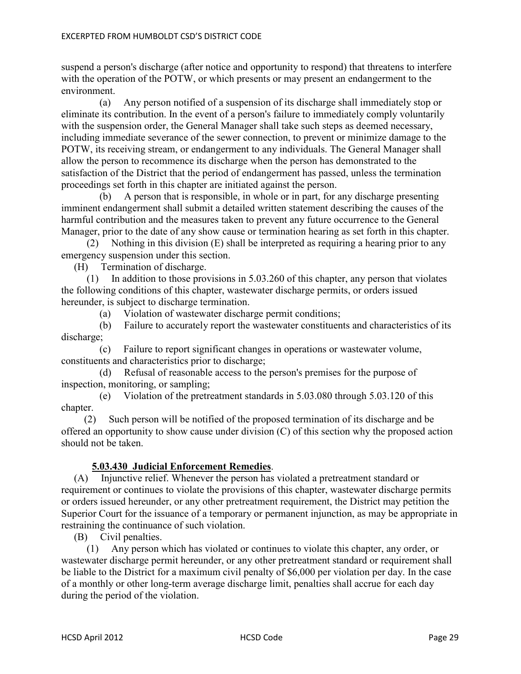suspend a person's discharge (after notice and opportunity to respond) that threatens to interfere with the operation of the POTW, or which presents or may present an endangerment to the environment.

 (a) Any person notified of a suspension of its discharge shall immediately stop or eliminate its contribution. In the event of a person's failure to immediately comply voluntarily with the suspension order, the General Manager shall take such steps as deemed necessary, including immediate severance of the sewer connection, to prevent or minimize damage to the POTW, its receiving stream, or endangerment to any individuals. The General Manager shall allow the person to recommence its discharge when the person has demonstrated to the satisfaction of the District that the period of endangerment has passed, unless the termination proceedings set forth in this chapter are initiated against the person.

 (b) A person that is responsible, in whole or in part, for any discharge presenting imminent endangerment shall submit a detailed written statement describing the causes of the harmful contribution and the measures taken to prevent any future occurrence to the General Manager, prior to the date of any show cause or termination hearing as set forth in this chapter.

 (2) Nothing in this division (E) shall be interpreted as requiring a hearing prior to any emergency suspension under this section.

(H) Termination of discharge.

 (1) In addition to those provisions in 5.03.260 of this chapter, any person that violates the following conditions of this chapter, wastewater discharge permits, or orders issued hereunder, is subject to discharge termination.

(a) Violation of wastewater discharge permit conditions;

 (b) Failure to accurately report the wastewater constituents and characteristics of its discharge;

 (c) Failure to report significant changes in operations or wastewater volume, constituents and characteristics prior to discharge;

 (d) Refusal of reasonable access to the person's premises for the purpose of inspection, monitoring, or sampling;

 (e) Violation of the pretreatment standards in 5.03.080 through 5.03.120 of this chapter.

 (2) Such person will be notified of the proposed termination of its discharge and be offered an opportunity to show cause under division (C) of this section why the proposed action should not be taken.

# **5.03.430 Judicial Enforcement Remedies**.

 (A) Injunctive relief. Whenever the person has violated a pretreatment standard or requirement or continues to violate the provisions of this chapter, wastewater discharge permits or orders issued hereunder, or any other pretreatment requirement, the District may petition the Superior Court for the issuance of a temporary or permanent injunction, as may be appropriate in restraining the continuance of such violation.

(B) Civil penalties.

 (1) Any person which has violated or continues to violate this chapter, any order, or wastewater discharge permit hereunder, or any other pretreatment standard or requirement shall be liable to the District for a maximum civil penalty of \$6,000 per violation per day. In the case of a monthly or other long-term average discharge limit, penalties shall accrue for each day during the period of the violation.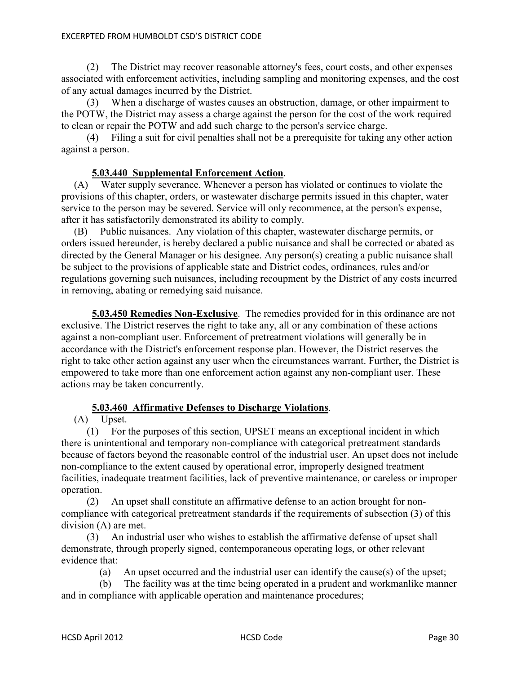#### EXCERPTED FROM HUMBOLDT CSD'S DISTRICT CODE

 (2) The District may recover reasonable attorney's fees, court costs, and other expenses associated with enforcement activities, including sampling and monitoring expenses, and the cost of any actual damages incurred by the District.

 (3) When a discharge of wastes causes an obstruction, damage, or other impairment to the POTW, the District may assess a charge against the person for the cost of the work required to clean or repair the POTW and add such charge to the person's service charge.

 (4) Filing a suit for civil penalties shall not be a prerequisite for taking any other action against a person.

# **5.03.440 Supplemental Enforcement Action**.

 (A) Water supply severance. Whenever a person has violated or continues to violate the provisions of this chapter, orders, or wastewater discharge permits issued in this chapter, water service to the person may be severed. Service will only recommence, at the person's expense, after it has satisfactorily demonstrated its ability to comply.

 (B) Public nuisances. Any violation of this chapter, wastewater discharge permits, or orders issued hereunder, is hereby declared a public nuisance and shall be corrected or abated as directed by the General Manager or his designee. Any person(s) creating a public nuisance shall be subject to the provisions of applicable state and District codes, ordinances, rules and/or regulations governing such nuisances, including recoupment by the District of any costs incurred in removing, abating or remedying said nuisance.

**5.03.450 Remedies Non-Exclusive**. The remedies provided for in this ordinance are not exclusive. The District reserves the right to take any, all or any combination of these actions against a non-compliant user. Enforcement of pretreatment violations will generally be in accordance with the District's enforcement response plan. However, the District reserves the right to take other action against any user when the circumstances warrant. Further, the District is empowered to take more than one enforcement action against any non-compliant user. These actions may be taken concurrently.

# **5.03.460 Affirmative Defenses to Discharge Violations**.

(A) Upset.

 (1) For the purposes of this section, UPSET means an exceptional incident in which there is unintentional and temporary non-compliance with categorical pretreatment standards because of factors beyond the reasonable control of the industrial user. An upset does not include non-compliance to the extent caused by operational error, improperly designed treatment facilities, inadequate treatment facilities, lack of preventive maintenance, or careless or improper operation.

 (2) An upset shall constitute an affirmative defense to an action brought for noncompliance with categorical pretreatment standards if the requirements of subsection (3) of this division (A) are met.

 (3) An industrial user who wishes to establish the affirmative defense of upset shall demonstrate, through properly signed, contemporaneous operating logs, or other relevant evidence that:

(a) An upset occurred and the industrial user can identify the cause(s) of the upset;

 (b) The facility was at the time being operated in a prudent and workmanlike manner and in compliance with applicable operation and maintenance procedures;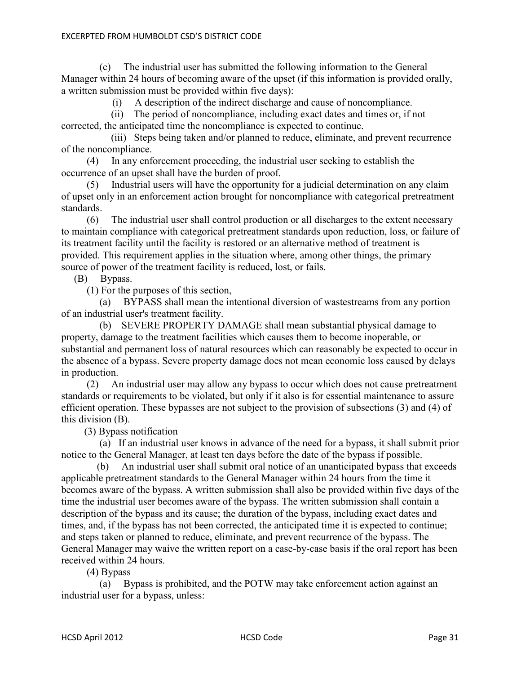(c) The industrial user has submitted the following information to the General Manager within 24 hours of becoming aware of the upset (if this information is provided orally, a written submission must be provided within five days):

(i) A description of the indirect discharge and cause of noncompliance.

(ii) The period of noncompliance, including exact dates and times or, if not corrected, the anticipated time the noncompliance is expected to continue.

(iii) Steps being taken and/or planned to reduce, eliminate, and prevent recurrence of the noncompliance.

 (4) In any enforcement proceeding, the industrial user seeking to establish the occurrence of an upset shall have the burden of proof.

 (5) Industrial users will have the opportunity for a judicial determination on any claim of upset only in an enforcement action brought for noncompliance with categorical pretreatment standards.

 (6) The industrial user shall control production or all discharges to the extent necessary to maintain compliance with categorical pretreatment standards upon reduction, loss, or failure of its treatment facility until the facility is restored or an alternative method of treatment is provided. This requirement applies in the situation where, among other things, the primary source of power of the treatment facility is reduced, lost, or fails.

## (B) Bypass.

(1) For the purposes of this section,

 (a) BYPASS shall mean the intentional diversion of wastestreams from any portion of an industrial user's treatment facility.

 (b) SEVERE PROPERTY DAMAGE shall mean substantial physical damage to property, damage to the treatment facilities which causes them to become inoperable, or substantial and permanent loss of natural resources which can reasonably be expected to occur in the absence of a bypass. Severe property damage does not mean economic loss caused by delays in production.

 (2) An industrial user may allow any bypass to occur which does not cause pretreatment standards or requirements to be violated, but only if it also is for essential maintenance to assure efficient operation. These bypasses are not subject to the provision of subsections (3) and (4) of this division (B).

(3) Bypass notification

 (a) If an industrial user knows in advance of the need for a bypass, it shall submit prior notice to the General Manager, at least ten days before the date of the bypass if possible.

 (b) An industrial user shall submit oral notice of an unanticipated bypass that exceeds applicable pretreatment standards to the General Manager within 24 hours from the time it becomes aware of the bypass. A written submission shall also be provided within five days of the time the industrial user becomes aware of the bypass. The written submission shall contain a description of the bypass and its cause; the duration of the bypass, including exact dates and times, and, if the bypass has not been corrected, the anticipated time it is expected to continue; and steps taken or planned to reduce, eliminate, and prevent recurrence of the bypass. The General Manager may waive the written report on a case-by-case basis if the oral report has been received within 24 hours.

(4) Bypass

 (a) Bypass is prohibited, and the POTW may take enforcement action against an industrial user for a bypass, unless: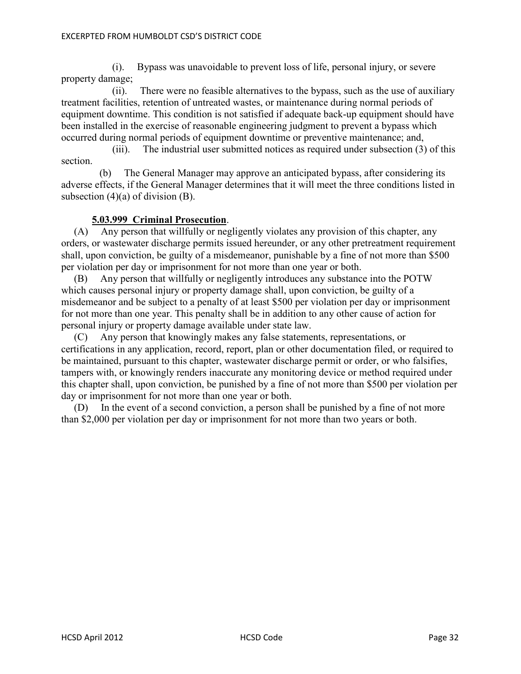(i). Bypass was unavoidable to prevent loss of life, personal injury, or severe property damage;

 (ii). There were no feasible alternatives to the bypass, such as the use of auxiliary treatment facilities, retention of untreated wastes, or maintenance during normal periods of equipment downtime. This condition is not satisfied if adequate back-up equipment should have been installed in the exercise of reasonable engineering judgment to prevent a bypass which occurred during normal periods of equipment downtime or preventive maintenance; and,

 (iii). The industrial user submitted notices as required under subsection (3) of this section.

 (b) The General Manager may approve an anticipated bypass, after considering its adverse effects, if the General Manager determines that it will meet the three conditions listed in subsection  $(4)(a)$  of division  $(B)$ .

# **5.03.999 Criminal Prosecution**.

 (A) Any person that willfully or negligently violates any provision of this chapter, any orders, or wastewater discharge permits issued hereunder, or any other pretreatment requirement shall, upon conviction, be guilty of a misdemeanor, punishable by a fine of not more than \$500 per violation per day or imprisonment for not more than one year or both.

 (B) Any person that willfully or negligently introduces any substance into the POTW which causes personal injury or property damage shall, upon conviction, be guilty of a misdemeanor and be subject to a penalty of at least \$500 per violation per day or imprisonment for not more than one year. This penalty shall be in addition to any other cause of action for personal injury or property damage available under state law.

 (C) Any person that knowingly makes any false statements, representations, or certifications in any application, record, report, plan or other documentation filed, or required to be maintained, pursuant to this chapter, wastewater discharge permit or order, or who falsifies, tampers with, or knowingly renders inaccurate any monitoring device or method required under this chapter shall, upon conviction, be punished by a fine of not more than \$500 per violation per day or imprisonment for not more than one year or both.

 (D) In the event of a second conviction, a person shall be punished by a fine of not more than \$2,000 per violation per day or imprisonment for not more than two years or both.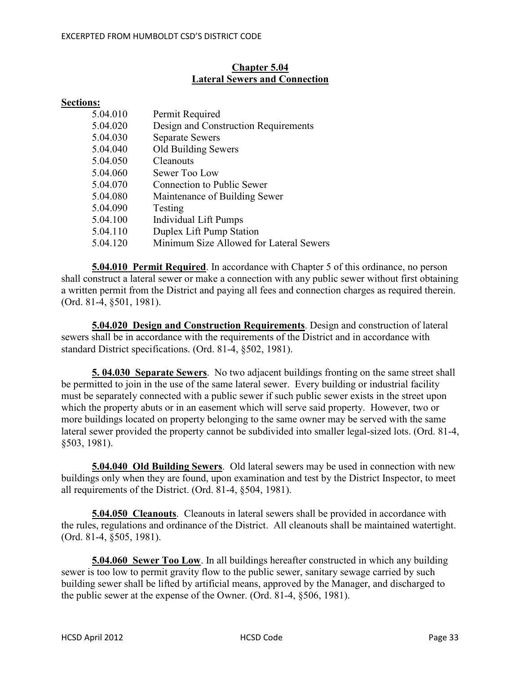# **Chapter 5.04 Lateral Sewers and Connection**

#### **Sections:**

| 5.04.010 | Permit Required                         |
|----------|-----------------------------------------|
| 5.04.020 | Design and Construction Requirements    |
| 5.04.030 | <b>Separate Sewers</b>                  |
| 5.04.040 | Old Building Sewers                     |
| 5.04.050 | Cleanouts                               |
| 5.04.060 | Sewer Too Low                           |
| 5.04.070 | Connection to Public Sewer              |
| 5.04.080 | Maintenance of Building Sewer           |
| 5.04.090 | Testing                                 |
| 5.04.100 | Individual Lift Pumps                   |
| 5.04.110 | Duplex Lift Pump Station                |
| 5.04.120 | Minimum Size Allowed for Lateral Sewers |

**5.04.010 Permit Required**. In accordance with Chapter 5 of this ordinance, no person shall construct a lateral sewer or make a connection with any public sewer without first obtaining a written permit from the District and paying all fees and connection charges as required therein. (Ord. 81-4, §501, 1981).

**5.04.020 Design and Construction Requirements**. Design and construction of lateral sewers shall be in accordance with the requirements of the District and in accordance with standard District specifications. (Ord. 81-4, §502, 1981).

**5. 04.030 Separate Sewers**. No two adjacent buildings fronting on the same street shall be permitted to join in the use of the same lateral sewer. Every building or industrial facility must be separately connected with a public sewer if such public sewer exists in the street upon which the property abuts or in an easement which will serve said property. However, two or more buildings located on property belonging to the same owner may be served with the same lateral sewer provided the property cannot be subdivided into smaller legal-sized lots. (Ord. 81-4, §503, 1981).

**5.04.040 Old Building Sewers**. Old lateral sewers may be used in connection with new buildings only when they are found, upon examination and test by the District Inspector, to meet all requirements of the District. (Ord. 81-4, §504, 1981).

**5.04.050 Cleanouts**. Cleanouts in lateral sewers shall be provided in accordance with the rules, regulations and ordinance of the District. All cleanouts shall be maintained watertight. (Ord. 81-4, §505, 1981).

**5.04.060 Sewer Too Low**. In all buildings hereafter constructed in which any building sewer is too low to permit gravity flow to the public sewer, sanitary sewage carried by such building sewer shall be lifted by artificial means, approved by the Manager, and discharged to the public sewer at the expense of the Owner. (Ord. 81-4, §506, 1981).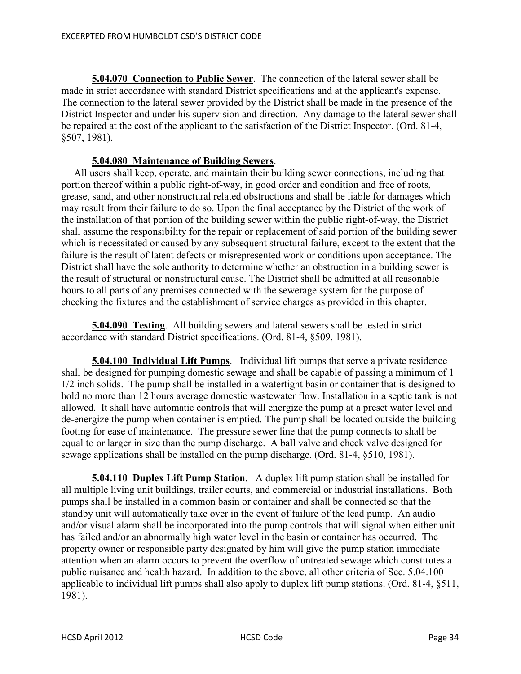**5.04.070 Connection to Public Sewer**. The connection of the lateral sewer shall be made in strict accordance with standard District specifications and at the applicant's expense. The connection to the lateral sewer provided by the District shall be made in the presence of the District Inspector and under his supervision and direction. Any damage to the lateral sewer shall be repaired at the cost of the applicant to the satisfaction of the District Inspector. (Ord. 81-4, §507, 1981).

# **5.04.080 Maintenance of Building Sewers**.

 All users shall keep, operate, and maintain their building sewer connections, including that portion thereof within a public right-of-way, in good order and condition and free of roots, grease, sand, and other nonstructural related obstructions and shall be liable for damages which may result from their failure to do so. Upon the final acceptance by the District of the work of the installation of that portion of the building sewer within the public right-of-way, the District shall assume the responsibility for the repair or replacement of said portion of the building sewer which is necessitated or caused by any subsequent structural failure, except to the extent that the failure is the result of latent defects or misrepresented work or conditions upon acceptance. The District shall have the sole authority to determine whether an obstruction in a building sewer is the result of structural or nonstructural cause. The District shall be admitted at all reasonable hours to all parts of any premises connected with the sewerage system for the purpose of checking the fixtures and the establishment of service charges as provided in this chapter.

**5.04.090 Testing**. All building sewers and lateral sewers shall be tested in strict accordance with standard District specifications. (Ord. 81-4, §509, 1981).

**5.04.100 Individual Lift Pumps**. Individual lift pumps that serve a private residence shall be designed for pumping domestic sewage and shall be capable of passing a minimum of 1 1/2 inch solids. The pump shall be installed in a watertight basin or container that is designed to hold no more than 12 hours average domestic wastewater flow. Installation in a septic tank is not allowed. It shall have automatic controls that will energize the pump at a preset water level and de-energize the pump when container is emptied. The pump shall be located outside the building footing for ease of maintenance. The pressure sewer line that the pump connects to shall be equal to or larger in size than the pump discharge. A ball valve and check valve designed for sewage applications shall be installed on the pump discharge. (Ord. 81-4, §510, 1981).

**5.04.110 Duplex Lift Pump Station**. A duplex lift pump station shall be installed for all multiple living unit buildings, trailer courts, and commercial or industrial installations. Both pumps shall be installed in a common basin or container and shall be connected so that the standby unit will automatically take over in the event of failure of the lead pump. An audio and/or visual alarm shall be incorporated into the pump controls that will signal when either unit has failed and/or an abnormally high water level in the basin or container has occurred. The property owner or responsible party designated by him will give the pump station immediate attention when an alarm occurs to prevent the overflow of untreated sewage which constitutes a public nuisance and health hazard. In addition to the above, all other criteria of Sec. 5.04.100 applicable to individual lift pumps shall also apply to duplex lift pump stations. (Ord. 81-4, §511, 1981).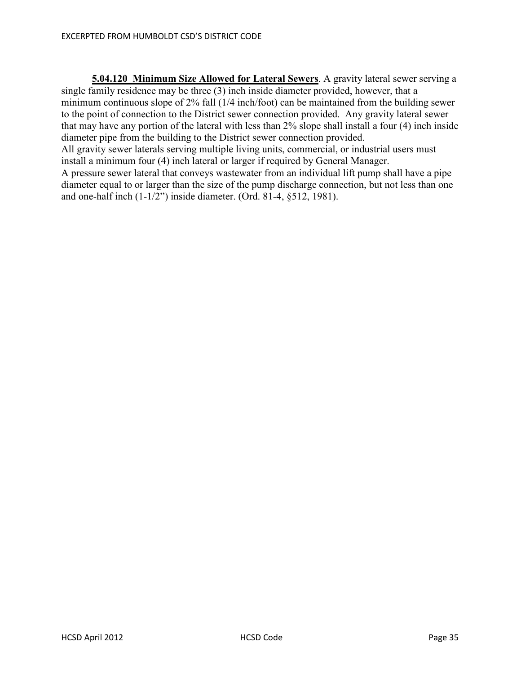**5.04.120 Minimum Size Allowed for Lateral Sewers**. A gravity lateral sewer serving a single family residence may be three (3) inch inside diameter provided, however, that a minimum continuous slope of 2% fall (1/4 inch/foot) can be maintained from the building sewer to the point of connection to the District sewer connection provided. Any gravity lateral sewer that may have any portion of the lateral with less than 2% slope shall install a four (4) inch inside diameter pipe from the building to the District sewer connection provided. All gravity sewer laterals serving multiple living units, commercial, or industrial users must install a minimum four (4) inch lateral or larger if required by General Manager. A pressure sewer lateral that conveys wastewater from an individual lift pump shall have a pipe diameter equal to or larger than the size of the pump discharge connection, but not less than one and one-half inch (1-1/2") inside diameter. (Ord. 81-4, §512, 1981).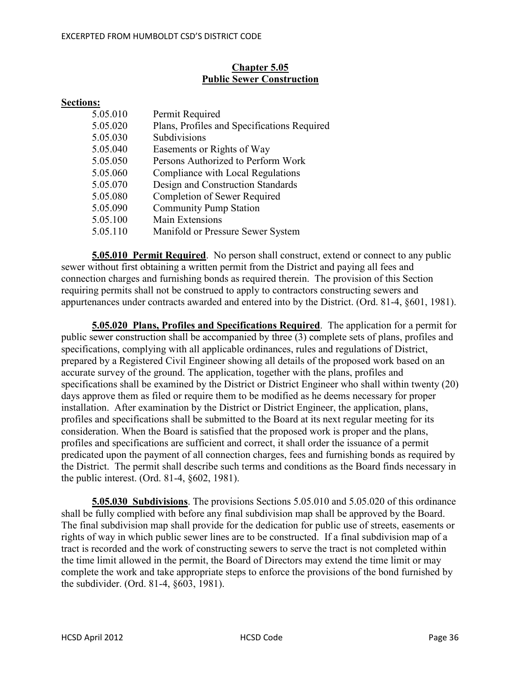# **Chapter 5.05 Public Sewer Construction**

# **Sections:**

| 5.05.010 | Permit Required                             |
|----------|---------------------------------------------|
| 5.05.020 | Plans, Profiles and Specifications Required |
| 5.05.030 | Subdivisions                                |
| 5.05.040 | Easements or Rights of Way                  |
| 5.05.050 | Persons Authorized to Perform Work          |
| 5.05.060 | Compliance with Local Regulations           |
| 5.05.070 | Design and Construction Standards           |
| 5.05.080 | Completion of Sewer Required                |
| 5.05.090 | <b>Community Pump Station</b>               |
| 5.05.100 | Main Extensions                             |
| 5.05.110 | Manifold or Pressure Sewer System           |

**5.05.010 Permit Required**. No person shall construct, extend or connect to any public sewer without first obtaining a written permit from the District and paying all fees and connection charges and furnishing bonds as required therein. The provision of this Section requiring permits shall not be construed to apply to contractors constructing sewers and appurtenances under contracts awarded and entered into by the District. (Ord. 81-4, §601, 1981).

**5.05.020 Plans, Profiles and Specifications Required**. The application for a permit for public sewer construction shall be accompanied by three (3) complete sets of plans, profiles and specifications, complying with all applicable ordinances, rules and regulations of District, prepared by a Registered Civil Engineer showing all details of the proposed work based on an accurate survey of the ground. The application, together with the plans, profiles and specifications shall be examined by the District or District Engineer who shall within twenty (20) days approve them as filed or require them to be modified as he deems necessary for proper installation. After examination by the District or District Engineer, the application, plans, profiles and specifications shall be submitted to the Board at its next regular meeting for its consideration. When the Board is satisfied that the proposed work is proper and the plans, profiles and specifications are sufficient and correct, it shall order the issuance of a permit predicated upon the payment of all connection charges, fees and furnishing bonds as required by the District. The permit shall describe such terms and conditions as the Board finds necessary in the public interest. (Ord. 81-4, §602, 1981).

**5.05.030 Subdivisions**. The provisions Sections 5.05.010 and 5.05.020 of this ordinance shall be fully complied with before any final subdivision map shall be approved by the Board. The final subdivision map shall provide for the dedication for public use of streets, easements or rights of way in which public sewer lines are to be constructed. If a final subdivision map of a tract is recorded and the work of constructing sewers to serve the tract is not completed within the time limit allowed in the permit, the Board of Directors may extend the time limit or may complete the work and take appropriate steps to enforce the provisions of the bond furnished by the subdivider. (Ord. 81-4, §603, 1981).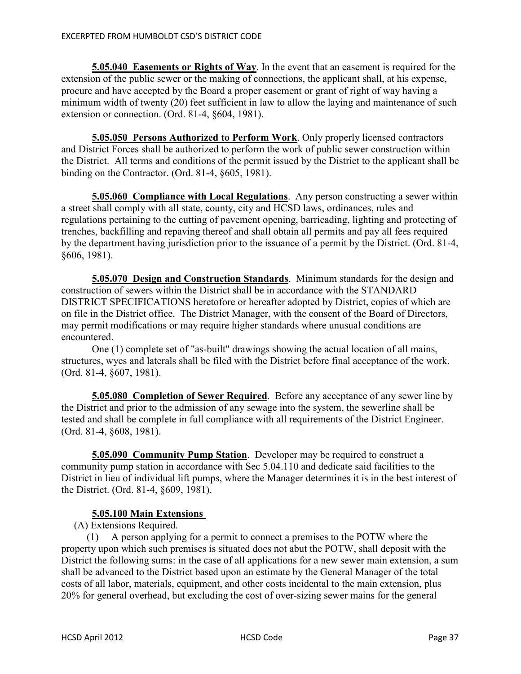**5.05.040 Easements or Rights of Way**. In the event that an easement is required for the extension of the public sewer or the making of connections, the applicant shall, at his expense, procure and have accepted by the Board a proper easement or grant of right of way having a minimum width of twenty (20) feet sufficient in law to allow the laying and maintenance of such extension or connection. (Ord. 81-4, §604, 1981).

**5.05.050 Persons Authorized to Perform Work**. Only properly licensed contractors and District Forces shall be authorized to perform the work of public sewer construction within the District. All terms and conditions of the permit issued by the District to the applicant shall be binding on the Contractor. (Ord. 81-4, §605, 1981).

**5.05.060 Compliance with Local Regulations**. Any person constructing a sewer within a street shall comply with all state, county, city and HCSD laws, ordinances, rules and regulations pertaining to the cutting of pavement opening, barricading, lighting and protecting of trenches, backfilling and repaving thereof and shall obtain all permits and pay all fees required by the department having jurisdiction prior to the issuance of a permit by the District. (Ord. 81-4, §606, 1981).

**5.05.070 Design and Construction Standards**. Minimum standards for the design and construction of sewers within the District shall be in accordance with the STANDARD DISTRICT SPECIFICATIONS heretofore or hereafter adopted by District, copies of which are on file in the District office. The District Manager, with the consent of the Board of Directors, may permit modifications or may require higher standards where unusual conditions are encountered.

 One (1) complete set of "as-built" drawings showing the actual location of all mains, structures, wyes and laterals shall be filed with the District before final acceptance of the work. (Ord. 81-4, §607, 1981).

**5.05.080 Completion of Sewer Required**. Before any acceptance of any sewer line by the District and prior to the admission of any sewage into the system, the sewerline shall be tested and shall be complete in full compliance with all requirements of the District Engineer. (Ord. 81-4, §608, 1981).

**5.05.090 Community Pump Station**. Developer may be required to construct a community pump station in accordance with Sec 5.04.110 and dedicate said facilities to the District in lieu of individual lift pumps, where the Manager determines it is in the best interest of the District. (Ord. 81-4, §609, 1981).

# **5.05.100 Main Extensions**

(A) Extensions Required.

 (1) A person applying for a permit to connect a premises to the POTW where the property upon which such premises is situated does not abut the POTW, shall deposit with the District the following sums: in the case of all applications for a new sewer main extension, a sum shall be advanced to the District based upon an estimate by the General Manager of the total costs of all labor, materials, equipment, and other costs incidental to the main extension, plus 20% for general overhead, but excluding the cost of over-sizing sewer mains for the general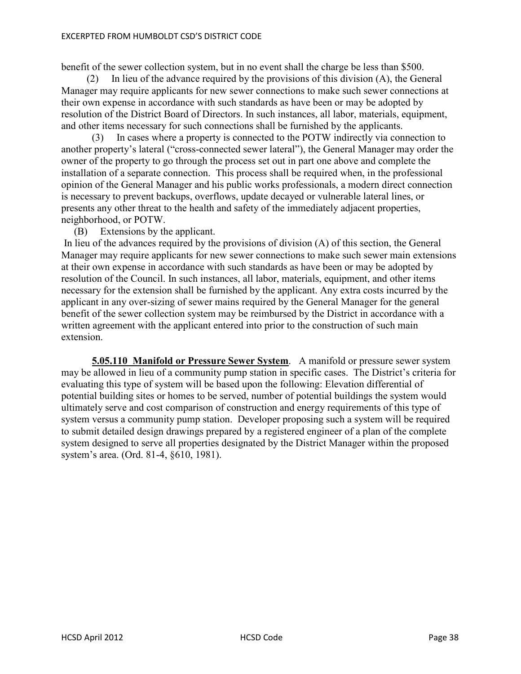#### EXCERPTED FROM HUMBOLDT CSD'S DISTRICT CODE

benefit of the sewer collection system, but in no event shall the charge be less than \$500.

 (2) In lieu of the advance required by the provisions of this division (A), the General Manager may require applicants for new sewer connections to make such sewer connections at their own expense in accordance with such standards as have been or may be adopted by resolution of the District Board of Directors. In such instances, all labor, materials, equipment, and other items necessary for such connections shall be furnished by the applicants.

 (3) In cases where a property is connected to the POTW indirectly via connection to another property's lateral ("cross-connected sewer lateral"), the General Manager may order the owner of the property to go through the process set out in part one above and complete the installation of a separate connection. This process shall be required when, in the professional opinion of the General Manager and his public works professionals, a modern direct connection is necessary to prevent backups, overflows, update decayed or vulnerable lateral lines, or presents any other threat to the health and safety of the immediately adjacent properties, neighborhood, or POTW.

(B) Extensions by the applicant.

 In lieu of the advances required by the provisions of division (A) of this section, the General Manager may require applicants for new sewer connections to make such sewer main extensions at their own expense in accordance with such standards as have been or may be adopted by resolution of the Council. In such instances, all labor, materials, equipment, and other items necessary for the extension shall be furnished by the applicant. Any extra costs incurred by the applicant in any over-sizing of sewer mains required by the General Manager for the general benefit of the sewer collection system may be reimbursed by the District in accordance with a written agreement with the applicant entered into prior to the construction of such main extension.

**5.05.110 Manifold or Pressure Sewer System**. A manifold or pressure sewer system may be allowed in lieu of a community pump station in specific cases. The District's criteria for evaluating this type of system will be based upon the following: Elevation differential of potential building sites or homes to be served, number of potential buildings the system would ultimately serve and cost comparison of construction and energy requirements of this type of system versus a community pump station. Developer proposing such a system will be required to submit detailed design drawings prepared by a registered engineer of a plan of the complete system designed to serve all properties designated by the District Manager within the proposed system's area. (Ord. 81-4, §610, 1981).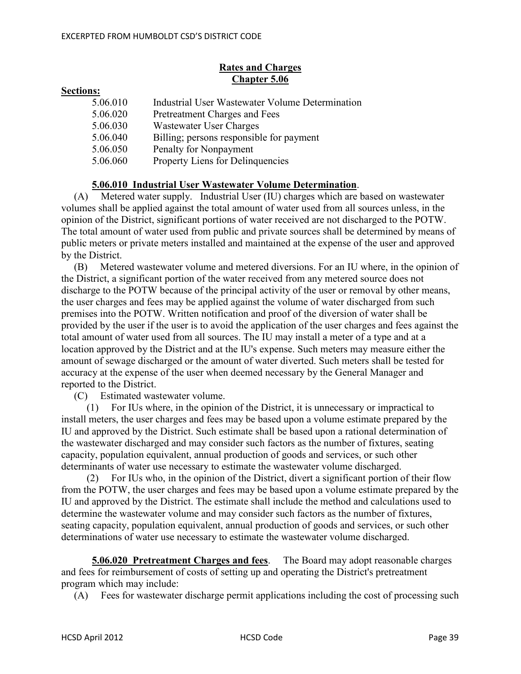# **Rates and Charges Chapter 5.06**

#### **Sections:**

| 5.06.010 | Industrial User Wastewater Volume Determination |
|----------|-------------------------------------------------|
| 5.06.020 | Pretreatment Charges and Fees                   |
| 5.06.030 | Wastewater User Charges                         |
| 5.06.040 | Billing; persons responsible for payment        |
| 5.06.050 | Penalty for Nonpayment                          |
| 5.06.060 | Property Liens for Delinquencies                |

# **5.06.010 Industrial User Wastewater Volume Determination**.

 (A) Metered water supply. Industrial User (IU) charges which are based on wastewater volumes shall be applied against the total amount of water used from all sources unless, in the opinion of the District, significant portions of water received are not discharged to the POTW. The total amount of water used from public and private sources shall be determined by means of public meters or private meters installed and maintained at the expense of the user and approved by the District.

 (B) Metered wastewater volume and metered diversions. For an IU where, in the opinion of the District, a significant portion of the water received from any metered source does not discharge to the POTW because of the principal activity of the user or removal by other means, the user charges and fees may be applied against the volume of water discharged from such premises into the POTW. Written notification and proof of the diversion of water shall be provided by the user if the user is to avoid the application of the user charges and fees against the total amount of water used from all sources. The IU may install a meter of a type and at a location approved by the District and at the IU's expense. Such meters may measure either the amount of sewage discharged or the amount of water diverted. Such meters shall be tested for accuracy at the expense of the user when deemed necessary by the General Manager and reported to the District.

(C) Estimated wastewater volume.

 (1) For IUs where, in the opinion of the District, it is unnecessary or impractical to install meters, the user charges and fees may be based upon a volume estimate prepared by the IU and approved by the District. Such estimate shall be based upon a rational determination of the wastewater discharged and may consider such factors as the number of fixtures, seating capacity, population equivalent, annual production of goods and services, or such other determinants of water use necessary to estimate the wastewater volume discharged.

 (2) For IUs who, in the opinion of the District, divert a significant portion of their flow from the POTW, the user charges and fees may be based upon a volume estimate prepared by the IU and approved by the District. The estimate shall include the method and calculations used to determine the wastewater volume and may consider such factors as the number of fixtures, seating capacity, population equivalent, annual production of goods and services, or such other determinations of water use necessary to estimate the wastewater volume discharged.

**5.06.020 Pretreatment Charges and fees**. The Board may adopt reasonable charges and fees for reimbursement of costs of setting up and operating the District's pretreatment program which may include:

(A) Fees for wastewater discharge permit applications including the cost of processing such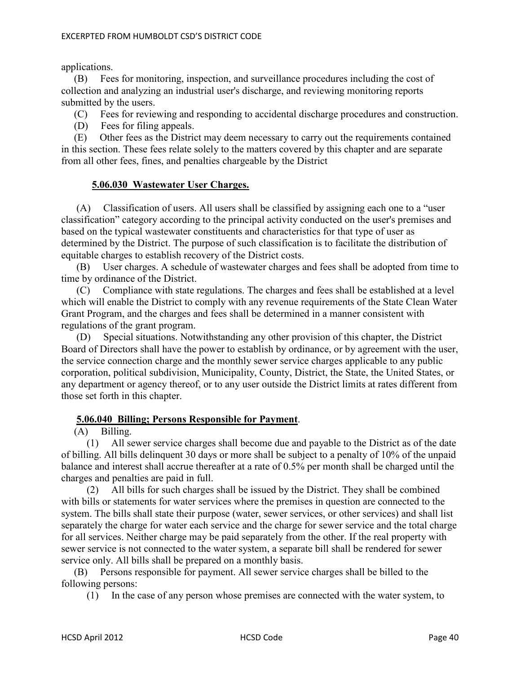applications.

 (B) Fees for monitoring, inspection, and surveillance procedures including the cost of collection and analyzing an industrial user's discharge, and reviewing monitoring reports submitted by the users.

(C) Fees for reviewing and responding to accidental discharge procedures and construction.

(D) Fees for filing appeals.

 (E) Other fees as the District may deem necessary to carry out the requirements contained in this section. These fees relate solely to the matters covered by this chapter and are separate from all other fees, fines, and penalties chargeable by the District

## **5.06.030 Wastewater User Charges.**

(A) Classification of users. All users shall be classified by assigning each one to a "user classification" category according to the principal activity conducted on the user's premises and based on the typical wastewater constituents and characteristics for that type of user as determined by the District. The purpose of such classification is to facilitate the distribution of equitable charges to establish recovery of the District costs.

(B) User charges. A schedule of wastewater charges and fees shall be adopted from time to time by ordinance of the District.

(C) Compliance with state regulations. The charges and fees shall be established at a level which will enable the District to comply with any revenue requirements of the State Clean Water Grant Program, and the charges and fees shall be determined in a manner consistent with regulations of the grant program.

(D) Special situations. Notwithstanding any other provision of this chapter, the District Board of Directors shall have the power to establish by ordinance, or by agreement with the user, the service connection charge and the monthly sewer service charges applicable to any public corporation, political subdivision, Municipality, County, District, the State, the United States, or any department or agency thereof, or to any user outside the District limits at rates different from those set forth in this chapter.

# **5.06.040 Billing; Persons Responsible for Payment**.

(A) Billing.

 (1) All sewer service charges shall become due and payable to the District as of the date of billing. All bills delinquent 30 days or more shall be subject to a penalty of 10% of the unpaid balance and interest shall accrue thereafter at a rate of 0.5% per month shall be charged until the charges and penalties are paid in full.

 (2) All bills for such charges shall be issued by the District. They shall be combined with bills or statements for water services where the premises in question are connected to the system. The bills shall state their purpose (water, sewer services, or other services) and shall list separately the charge for water each service and the charge for sewer service and the total charge for all services. Neither charge may be paid separately from the other. If the real property with sewer service is not connected to the water system, a separate bill shall be rendered for sewer service only. All bills shall be prepared on a monthly basis.

 (B) Persons responsible for payment. All sewer service charges shall be billed to the following persons:

(1) In the case of any person whose premises are connected with the water system, to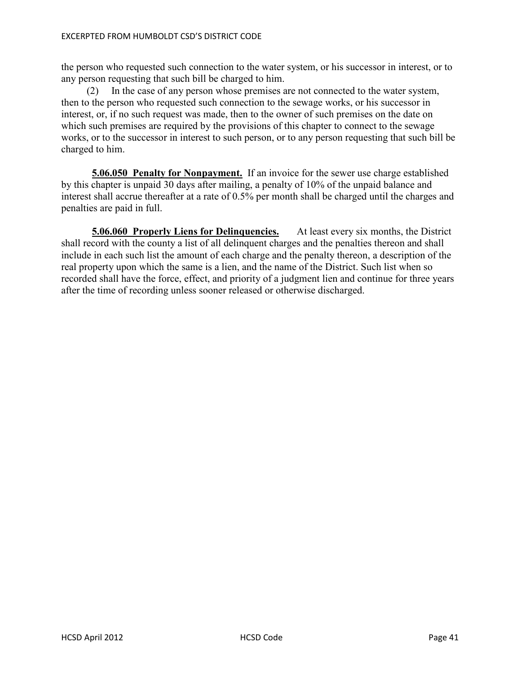the person who requested such connection to the water system, or his successor in interest, or to any person requesting that such bill be charged to him.

 (2) In the case of any person whose premises are not connected to the water system, then to the person who requested such connection to the sewage works, or his successor in interest, or, if no such request was made, then to the owner of such premises on the date on which such premises are required by the provisions of this chapter to connect to the sewage works, or to the successor in interest to such person, or to any person requesting that such bill be charged to him.

**5.06.050 Penalty for Nonpayment.** If an invoice for the sewer use charge established by this chapter is unpaid 30 days after mailing, a penalty of 10% of the unpaid balance and interest shall accrue thereafter at a rate of 0.5% per month shall be charged until the charges and penalties are paid in full.

**5.06.060 Properly Liens for Delinquencies.** At least every six months, the District shall record with the county a list of all delinquent charges and the penalties thereon and shall include in each such list the amount of each charge and the penalty thereon, a description of the real property upon which the same is a lien, and the name of the District. Such list when so recorded shall have the force, effect, and priority of a judgment lien and continue for three years after the time of recording unless sooner released or otherwise discharged.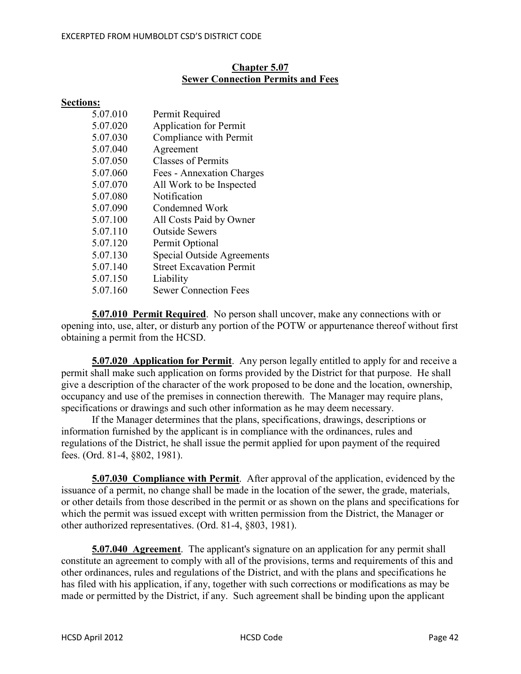#### EXCERPTED FROM HUMBOLDT CSD'S DISTRICT CODE

#### **Chapter 5.07 Sewer Connection Permits and Fees**

#### **Sections:**

| <b>Application for Permit</b><br>Compliance with Permit |
|---------------------------------------------------------|
|                                                         |
|                                                         |
| Agreement                                               |
| <b>Classes of Permits</b>                               |
| Fees - Annexation Charges                               |
| All Work to be Inspected                                |
| Notification                                            |
| Condemned Work                                          |
| All Costs Paid by Owner                                 |
| <b>Outside Sewers</b>                                   |
| Permit Optional                                         |
| <b>Special Outside Agreements</b>                       |
| <b>Street Excavation Permit</b>                         |
| Liability                                               |
| <b>Sewer Connection Fees</b>                            |
|                                                         |

**5.07.010 Permit Required**. No person shall uncover, make any connections with or opening into, use, alter, or disturb any portion of the POTW or appurtenance thereof without first obtaining a permit from the HCSD.

**5.07.020 Application for Permit**. Any person legally entitled to apply for and receive a permit shall make such application on forms provided by the District for that purpose. He shall give a description of the character of the work proposed to be done and the location, ownership, occupancy and use of the premises in connection therewith. The Manager may require plans, specifications or drawings and such other information as he may deem necessary.

 If the Manager determines that the plans, specifications, drawings, descriptions or information furnished by the applicant is in compliance with the ordinances, rules and regulations of the District, he shall issue the permit applied for upon payment of the required fees. (Ord. 81-4, §802, 1981).

**5.07.030 Compliance with Permit**. After approval of the application, evidenced by the issuance of a permit, no change shall be made in the location of the sewer, the grade, materials, or other details from those described in the permit or as shown on the plans and specifications for which the permit was issued except with written permission from the District, the Manager or other authorized representatives. (Ord. 81-4, §803, 1981).

**5.07.040 Agreement**. The applicant's signature on an application for any permit shall constitute an agreement to comply with all of the provisions, terms and requirements of this and other ordinances, rules and regulations of the District, and with the plans and specifications he has filed with his application, if any, together with such corrections or modifications as may be made or permitted by the District, if any. Such agreement shall be binding upon the applicant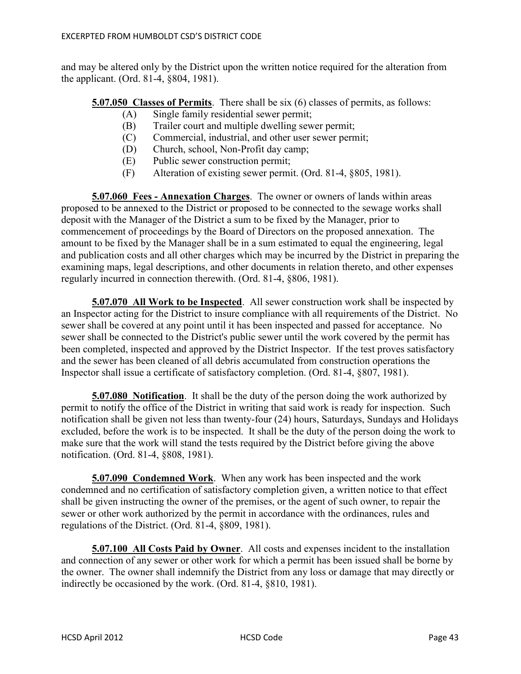and may be altered only by the District upon the written notice required for the alteration from the applicant. (Ord. 81-4, §804, 1981).

**5.07.050 Classes of Permits**. There shall be six (6) classes of permits, as follows:

- (A) Single family residential sewer permit;
- (B) Trailer court and multiple dwelling sewer permit;
- (C) Commercial, industrial, and other user sewer permit;
- (D) Church, school, Non-Profit day camp;
- (E) Public sewer construction permit;
- (F) Alteration of existing sewer permit. (Ord. 81-4, §805, 1981).

**5.07.060 Fees - Annexation Charges**. The owner or owners of lands within areas proposed to be annexed to the District or proposed to be connected to the sewage works shall deposit with the Manager of the District a sum to be fixed by the Manager, prior to commencement of proceedings by the Board of Directors on the proposed annexation. The amount to be fixed by the Manager shall be in a sum estimated to equal the engineering, legal and publication costs and all other charges which may be incurred by the District in preparing the examining maps, legal descriptions, and other documents in relation thereto, and other expenses regularly incurred in connection therewith. (Ord. 81-4, §806, 1981).

**5.07.070 All Work to be Inspected**. All sewer construction work shall be inspected by an Inspector acting for the District to insure compliance with all requirements of the District. No sewer shall be covered at any point until it has been inspected and passed for acceptance. No sewer shall be connected to the District's public sewer until the work covered by the permit has been completed, inspected and approved by the District Inspector. If the test proves satisfactory and the sewer has been cleaned of all debris accumulated from construction operations the Inspector shall issue a certificate of satisfactory completion. (Ord. 81-4, §807, 1981).

**5.07.080 Notification**. It shall be the duty of the person doing the work authorized by permit to notify the office of the District in writing that said work is ready for inspection. Such notification shall be given not less than twenty-four (24) hours, Saturdays, Sundays and Holidays excluded, before the work is to be inspected. It shall be the duty of the person doing the work to make sure that the work will stand the tests required by the District before giving the above notification. (Ord. 81-4, §808, 1981).

**5.07.090 Condemned Work**. When any work has been inspected and the work condemned and no certification of satisfactory completion given, a written notice to that effect shall be given instructing the owner of the premises, or the agent of such owner, to repair the sewer or other work authorized by the permit in accordance with the ordinances, rules and regulations of the District. (Ord. 81-4, §809, 1981).

**5.07.100 All Costs Paid by Owner**. All costs and expenses incident to the installation and connection of any sewer or other work for which a permit has been issued shall be borne by the owner. The owner shall indemnify the District from any loss or damage that may directly or indirectly be occasioned by the work. (Ord. 81-4, §810, 1981).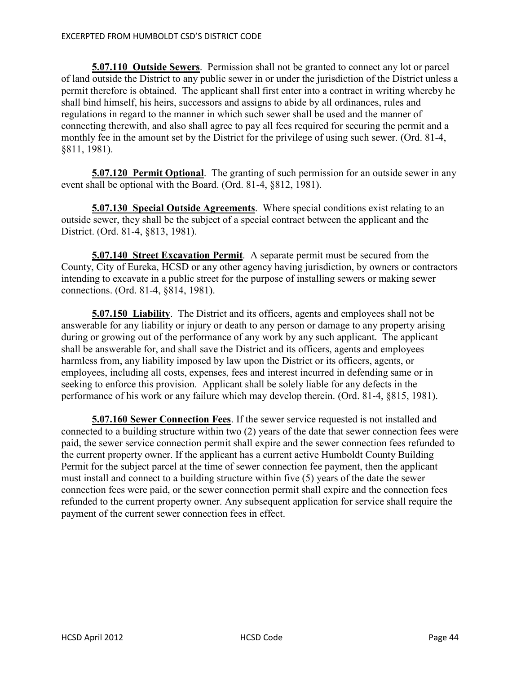**5.07.110 Outside Sewers**. Permission shall not be granted to connect any lot or parcel of land outside the District to any public sewer in or under the jurisdiction of the District unless a permit therefore is obtained. The applicant shall first enter into a contract in writing whereby he shall bind himself, his heirs, successors and assigns to abide by all ordinances, rules and regulations in regard to the manner in which such sewer shall be used and the manner of connecting therewith, and also shall agree to pay all fees required for securing the permit and a monthly fee in the amount set by the District for the privilege of using such sewer. (Ord. 81-4, §811, 1981).

**5.07.120 Permit Optional**. The granting of such permission for an outside sewer in any event shall be optional with the Board. (Ord. 81-4, §812, 1981).

**5.07.130 Special Outside Agreements**. Where special conditions exist relating to an outside sewer, they shall be the subject of a special contract between the applicant and the District. (Ord. 81-4, §813, 1981).

**5.07.140 Street Excavation Permit**. A separate permit must be secured from the County, City of Eureka, HCSD or any other agency having jurisdiction, by owners or contractors intending to excavate in a public street for the purpose of installing sewers or making sewer connections. (Ord. 81-4, §814, 1981).

**5.07.150 Liability**. The District and its officers, agents and employees shall not be answerable for any liability or injury or death to any person or damage to any property arising during or growing out of the performance of any work by any such applicant. The applicant shall be answerable for, and shall save the District and its officers, agents and employees harmless from, any liability imposed by law upon the District or its officers, agents, or employees, including all costs, expenses, fees and interest incurred in defending same or in seeking to enforce this provision. Applicant shall be solely liable for any defects in the performance of his work or any failure which may develop therein. (Ord. 81-4, §815, 1981).

**5.07.160 Sewer Connection Fees**. If the sewer service requested is not installed and connected to a building structure within two (2) years of the date that sewer connection fees were paid, the sewer service connection permit shall expire and the sewer connection fees refunded to the current property owner. If the applicant has a current active Humboldt County Building Permit for the subject parcel at the time of sewer connection fee payment, then the applicant must install and connect to a building structure within five (5) years of the date the sewer connection fees were paid, or the sewer connection permit shall expire and the connection fees refunded to the current property owner. Any subsequent application for service shall require the payment of the current sewer connection fees in effect.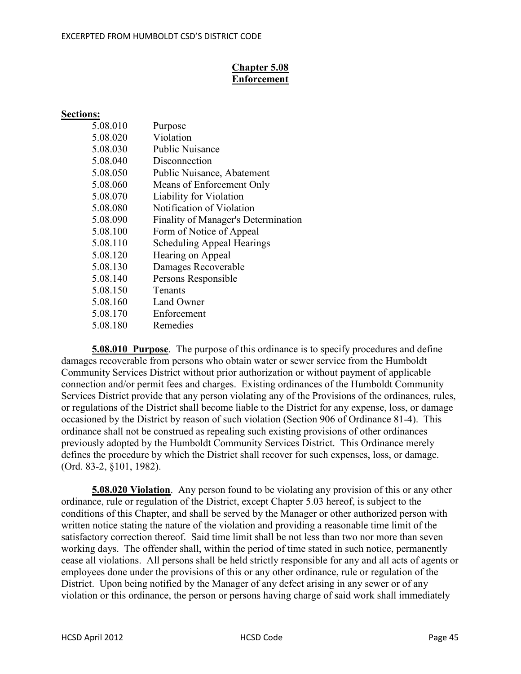# **Chapter 5.08 Enforcement**

# **Sections:**

| Purpose                             |
|-------------------------------------|
| Violation                           |
| <b>Public Nuisance</b>              |
| Disconnection                       |
| Public Nuisance, Abatement          |
| Means of Enforcement Only           |
| Liability for Violation             |
| Notification of Violation           |
| Finality of Manager's Determination |
| Form of Notice of Appeal            |
| <b>Scheduling Appeal Hearings</b>   |
| Hearing on Appeal                   |
| Damages Recoverable                 |
| Persons Responsible                 |
| Tenants                             |
| Land Owner                          |
| Enforcement                         |
| Remedies                            |
|                                     |

**5.08.010 Purpose**. The purpose of this ordinance is to specify procedures and define damages recoverable from persons who obtain water or sewer service from the Humboldt Community Services District without prior authorization or without payment of applicable connection and/or permit fees and charges. Existing ordinances of the Humboldt Community Services District provide that any person violating any of the Provisions of the ordinances, rules, or regulations of the District shall become liable to the District for any expense, loss, or damage occasioned by the District by reason of such violation (Section 906 of Ordinance 81-4). This ordinance shall not be construed as repealing such existing provisions of other ordinances previously adopted by the Humboldt Community Services District. This Ordinance merely defines the procedure by which the District shall recover for such expenses, loss, or damage. (Ord. 83-2, §101, 1982).

**5.08.020 Violation**. Any person found to be violating any provision of this or any other ordinance, rule or regulation of the District, except Chapter 5.03 hereof, is subject to the conditions of this Chapter, and shall be served by the Manager or other authorized person with written notice stating the nature of the violation and providing a reasonable time limit of the satisfactory correction thereof. Said time limit shall be not less than two nor more than seven working days. The offender shall, within the period of time stated in such notice, permanently cease all violations. All persons shall be held strictly responsible for any and all acts of agents or employees done under the provisions of this or any other ordinance, rule or regulation of the District. Upon being notified by the Manager of any defect arising in any sewer or of any violation or this ordinance, the person or persons having charge of said work shall immediately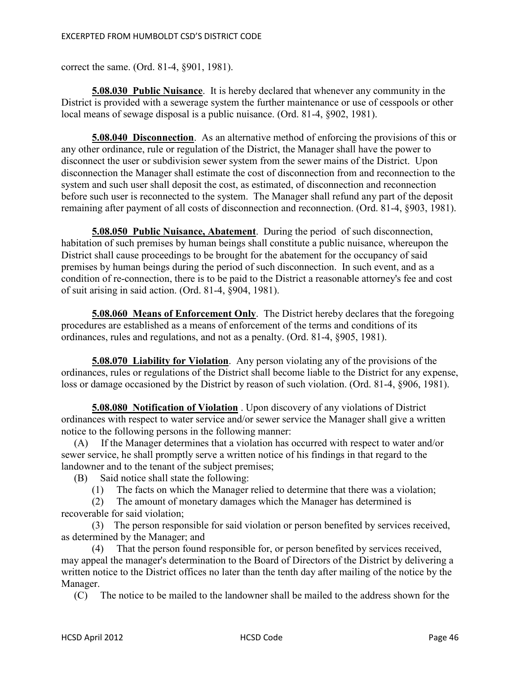correct the same. (Ord. 81-4, §901, 1981).

**5.08.030 Public Nuisance**. It is hereby declared that whenever any community in the District is provided with a sewerage system the further maintenance or use of cesspools or other local means of sewage disposal is a public nuisance. (Ord. 81-4, §902, 1981).

**5.08.040 Disconnection**. As an alternative method of enforcing the provisions of this or any other ordinance, rule or regulation of the District, the Manager shall have the power to disconnect the user or subdivision sewer system from the sewer mains of the District. Upon disconnection the Manager shall estimate the cost of disconnection from and reconnection to the system and such user shall deposit the cost, as estimated, of disconnection and reconnection before such user is reconnected to the system. The Manager shall refund any part of the deposit remaining after payment of all costs of disconnection and reconnection. (Ord. 81-4, §903, 1981).

**5.08.050 Public Nuisance, Abatement**. During the period of such disconnection, habitation of such premises by human beings shall constitute a public nuisance, whereupon the District shall cause proceedings to be brought for the abatement for the occupancy of said premises by human beings during the period of such disconnection. In such event, and as a condition of re-connection, there is to be paid to the District a reasonable attorney's fee and cost of suit arising in said action. (Ord. 81-4, §904, 1981).

**5.08.060 Means of Enforcement Only**. The District hereby declares that the foregoing procedures are established as a means of enforcement of the terms and conditions of its ordinances, rules and regulations, and not as a penalty. (Ord. 81-4, §905, 1981).

**5.08.070 Liability for Violation**. Any person violating any of the provisions of the ordinances, rules or regulations of the District shall become liable to the District for any expense, loss or damage occasioned by the District by reason of such violation. (Ord. 81-4, §906, 1981).

**5.08.080 Notification of Violation** . Upon discovery of any violations of District ordinances with respect to water service and/or sewer service the Manager shall give a written notice to the following persons in the following manner:

 (A) If the Manager determines that a violation has occurred with respect to water and/or sewer service, he shall promptly serve a written notice of his findings in that regard to the landowner and to the tenant of the subject premises;

(B) Said notice shall state the following:

(1) The facts on which the Manager relied to determine that there was a violation;

 (2) The amount of monetary damages which the Manager has determined is recoverable for said violation;

 (3) The person responsible for said violation or person benefited by services received, as determined by the Manager; and

 (4) That the person found responsible for, or person benefited by services received, may appeal the manager's determination to the Board of Directors of the District by delivering a written notice to the District offices no later than the tenth day after mailing of the notice by the Manager.

(C) The notice to be mailed to the landowner shall be mailed to the address shown for the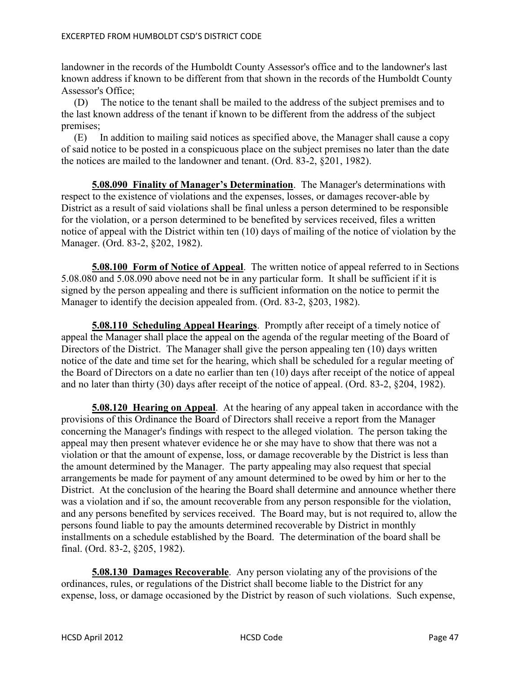landowner in the records of the Humboldt County Assessor's office and to the landowner's last known address if known to be different from that shown in the records of the Humboldt County Assessor's Office;

 (D) The notice to the tenant shall be mailed to the address of the subject premises and to the last known address of the tenant if known to be different from the address of the subject premises;

 (E) In addition to mailing said notices as specified above, the Manager shall cause a copy of said notice to be posted in a conspicuous place on the subject premises no later than the date the notices are mailed to the landowner and tenant. (Ord. 83-2, §201, 1982).

**5.08.090 Finality of Manager's Determination**. The Manager's determinations with respect to the existence of violations and the expenses, losses, or damages recover-able by District as a result of said violations shall be final unless a person determined to be responsible for the violation, or a person determined to be benefited by services received, files a written notice of appeal with the District within ten (10) days of mailing of the notice of violation by the Manager. (Ord. 83-2, §202, 1982).

**5.08.100 Form of Notice of Appeal**. The written notice of appeal referred to in Sections 5.08.080 and 5.08.090 above need not be in any particular form. It shall be sufficient if it is signed by the person appealing and there is sufficient information on the notice to permit the Manager to identify the decision appealed from. (Ord. 83-2, §203, 1982).

**5.08.110 Scheduling Appeal Hearings**. Promptly after receipt of a timely notice of appeal the Manager shall place the appeal on the agenda of the regular meeting of the Board of Directors of the District. The Manager shall give the person appealing ten (10) days written notice of the date and time set for the hearing, which shall be scheduled for a regular meeting of the Board of Directors on a date no earlier than ten (10) days after receipt of the notice of appeal and no later than thirty (30) days after receipt of the notice of appeal. (Ord. 83-2, §204, 1982).

**5.08.120 Hearing on Appeal**. At the hearing of any appeal taken in accordance with the provisions of this Ordinance the Board of Directors shall receive a report from the Manager concerning the Manager's findings with respect to the alleged violation. The person taking the appeal may then present whatever evidence he or she may have to show that there was not a violation or that the amount of expense, loss, or damage recoverable by the District is less than the amount determined by the Manager. The party appealing may also request that special arrangements be made for payment of any amount determined to be owed by him or her to the District. At the conclusion of the hearing the Board shall determine and announce whether there was a violation and if so, the amount recoverable from any person responsible for the violation, and any persons benefited by services received. The Board may, but is not required to, allow the persons found liable to pay the amounts determined recoverable by District in monthly installments on a schedule established by the Board. The determination of the board shall be final. (Ord. 83-2, §205, 1982).

**5.08.130 Damages Recoverable**. Any person violating any of the provisions of the ordinances, rules, or regulations of the District shall become liable to the District for any expense, loss, or damage occasioned by the District by reason of such violations. Such expense,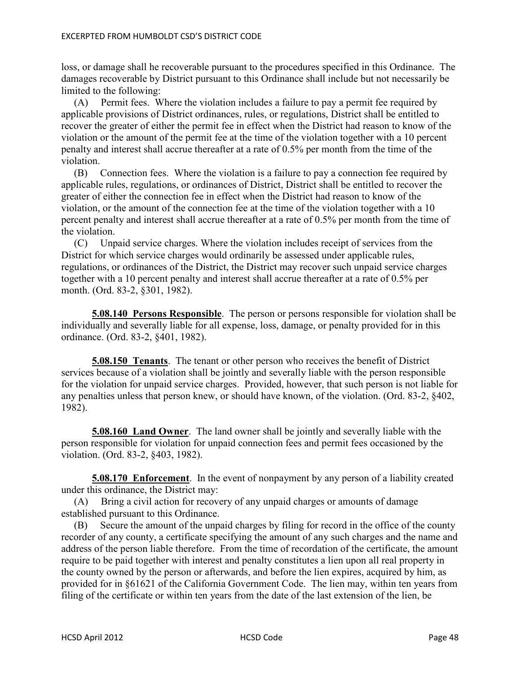loss, or damage shall he recoverable pursuant to the procedures specified in this Ordinance. The damages recoverable by District pursuant to this Ordinance shall include but not necessarily be limited to the following:

 (A) Permit fees. Where the violation includes a failure to pay a permit fee required by applicable provisions of District ordinances, rules, or regulations, District shall be entitled to recover the greater of either the permit fee in effect when the District had reason to know of the violation or the amount of the permit fee at the time of the violation together with a 10 percent penalty and interest shall accrue thereafter at a rate of 0.5% per month from the time of the violation.

 (B) Connection fees. Where the violation is a failure to pay a connection fee required by applicable rules, regulations, or ordinances of District, District shall be entitled to recover the greater of either the connection fee in effect when the District had reason to know of the violation, or the amount of the connection fee at the time of the violation together with a 10 percent penalty and interest shall accrue thereafter at a rate of 0.5% per month from the time of the violation.

 (C) Unpaid service charges. Where the violation includes receipt of services from the District for which service charges would ordinarily be assessed under applicable rules, regulations, or ordinances of the District, the District may recover such unpaid service charges together with a 10 percent penalty and interest shall accrue thereafter at a rate of 0.5% per month. (Ord. 83-2, §301, 1982).

**5.08.140 Persons Responsible**. The person or persons responsible for violation shall be individually and severally liable for all expense, loss, damage, or penalty provided for in this ordinance. (Ord. 83-2, §401, 1982).

**5.08.150 Tenants**. The tenant or other person who receives the benefit of District services because of a violation shall be jointly and severally liable with the person responsible for the violation for unpaid service charges. Provided, however, that such person is not liable for any penalties unless that person knew, or should have known, of the violation. (Ord. 83-2, §402, 1982).

**5.08.160 Land Owner**. The land owner shall be jointly and severally liable with the person responsible for violation for unpaid connection fees and permit fees occasioned by the violation. (Ord. 83-2, §403, 1982).

**5.08.170 Enforcement**. In the event of nonpayment by any person of a liability created under this ordinance, the District may:

 (A) Bring a civil action for recovery of any unpaid charges or amounts of damage established pursuant to this Ordinance.

 (B) Secure the amount of the unpaid charges by filing for record in the office of the county recorder of any county, a certificate specifying the amount of any such charges and the name and address of the person liable therefore. From the time of recordation of the certificate, the amount require to be paid together with interest and penalty constitutes a lien upon all real property in the county owned by the person or afterwards, and before the lien expires, acquired by him, as provided for in §61621 of the California Government Code. The lien may, within ten years from filing of the certificate or within ten years from the date of the last extension of the lien, be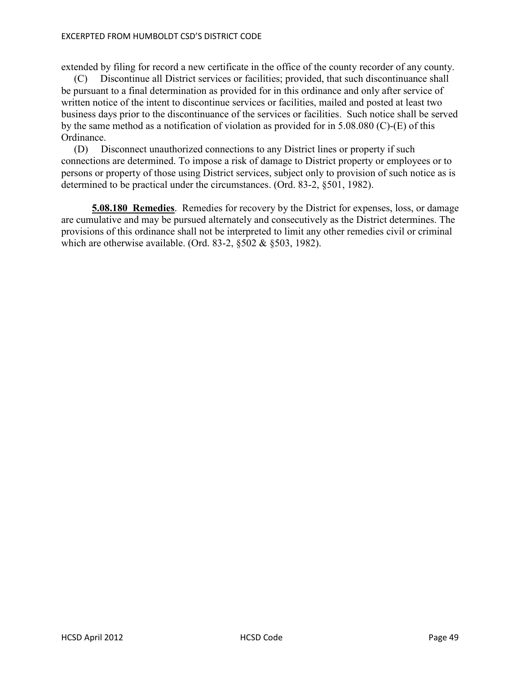#### EXCERPTED FROM HUMBOLDT CSD'S DISTRICT CODE

extended by filing for record a new certificate in the office of the county recorder of any county.

 (C) Discontinue all District services or facilities; provided, that such discontinuance shall be pursuant to a final determination as provided for in this ordinance and only after service of written notice of the intent to discontinue services or facilities, mailed and posted at least two business days prior to the discontinuance of the services or facilities. Such notice shall be served by the same method as a notification of violation as provided for in 5.08.080 (C)-(E) of this Ordinance.

 (D) Disconnect unauthorized connections to any District lines or property if such connections are determined. To impose a risk of damage to District property or employees or to persons or property of those using District services, subject only to provision of such notice as is determined to be practical under the circumstances. (Ord. 83-2, §501, 1982).

**5.08.180 Remedies**. Remedies for recovery by the District for expenses, loss, or damage are cumulative and may be pursued alternately and consecutively as the District determines. The provisions of this ordinance shall not be interpreted to limit any other remedies civil or criminal which are otherwise available. (Ord. 83-2, §502 & §503, 1982).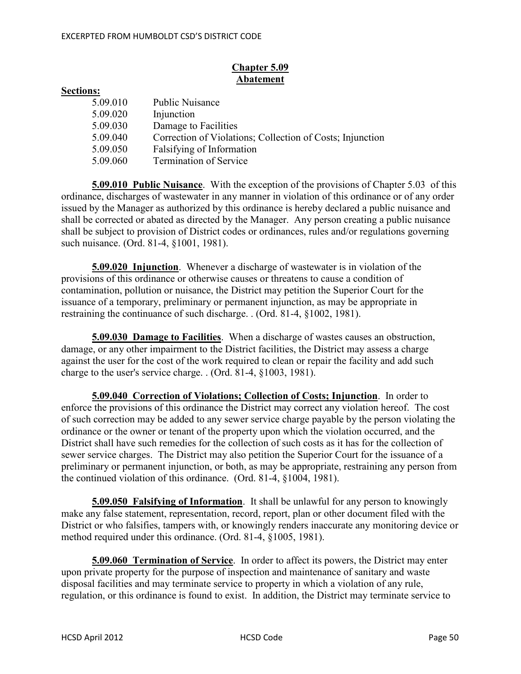# **Chapter 5.09 Abatement**

#### **Sections:**

| <b>Public Nuisance</b><br>5.09.010                                    |  |
|-----------------------------------------------------------------------|--|
| Injunction<br>5.09.020                                                |  |
| 5.09.030<br>Damage to Facilities                                      |  |
| 5.09.040<br>Correction of Violations; Collection of Costs; Injunction |  |
| 5.09.050<br>Falsifying of Information                                 |  |
| <b>Termination of Service</b><br>5.09.060                             |  |

**5.09.010 Public Nuisance**. With the exception of the provisions of Chapter 5.03 of this ordinance, discharges of wastewater in any manner in violation of this ordinance or of any order issued by the Manager as authorized by this ordinance is hereby declared a public nuisance and shall be corrected or abated as directed by the Manager. Any person creating a public nuisance shall be subject to provision of District codes or ordinances, rules and/or regulations governing such nuisance. (Ord. 81-4, §1001, 1981).

**5.09.020 Injunction**. Whenever a discharge of wastewater is in violation of the provisions of this ordinance or otherwise causes or threatens to cause a condition of contamination, pollution or nuisance, the District may petition the Superior Court for the issuance of a temporary, preliminary or permanent injunction, as may be appropriate in restraining the continuance of such discharge. . (Ord. 81-4, §1002, 1981).

**5.09.030 Damage to Facilities**. When a discharge of wastes causes an obstruction, damage, or any other impairment to the District facilities, the District may assess a charge against the user for the cost of the work required to clean or repair the facility and add such charge to the user's service charge. . (Ord. 81-4, §1003, 1981).

**5.09.040 Correction of Violations; Collection of Costs; Injunction**. In order to enforce the provisions of this ordinance the District may correct any violation hereof. The cost of such correction may be added to any sewer service charge payable by the person violating the ordinance or the owner or tenant of the property upon which the violation occurred, and the District shall have such remedies for the collection of such costs as it has for the collection of sewer service charges. The District may also petition the Superior Court for the issuance of a preliminary or permanent injunction, or both, as may be appropriate, restraining any person from the continued violation of this ordinance. (Ord. 81-4, §1004, 1981).

**5.09.050 Falsifying of Information**. It shall be unlawful for any person to knowingly make any false statement, representation, record, report, plan or other document filed with the District or who falsifies, tampers with, or knowingly renders inaccurate any monitoring device or method required under this ordinance. (Ord. 81-4, §1005, 1981).

**5.09.060 Termination of Service**. In order to affect its powers, the District may enter upon private property for the purpose of inspection and maintenance of sanitary and waste disposal facilities and may terminate service to property in which a violation of any rule, regulation, or this ordinance is found to exist. In addition, the District may terminate service to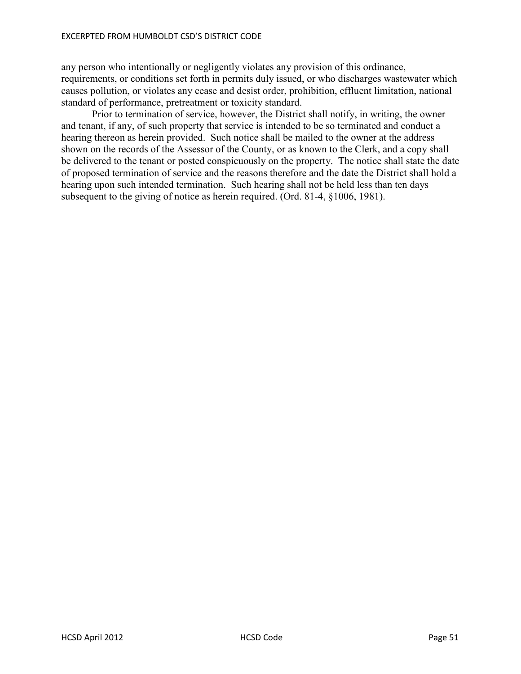any person who intentionally or negligently violates any provision of this ordinance, requirements, or conditions set forth in permits duly issued, or who discharges wastewater which causes pollution, or violates any cease and desist order, prohibition, effluent limitation, national standard of performance, pretreatment or toxicity standard.

 Prior to termination of service, however, the District shall notify, in writing, the owner and tenant, if any, of such property that service is intended to be so terminated and conduct a hearing thereon as herein provided. Such notice shall be mailed to the owner at the address shown on the records of the Assessor of the County, or as known to the Clerk, and a copy shall be delivered to the tenant or posted conspicuously on the property. The notice shall state the date of proposed termination of service and the reasons therefore and the date the District shall hold a hearing upon such intended termination. Such hearing shall not be held less than ten days subsequent to the giving of notice as herein required. (Ord. 81-4, §1006, 1981).